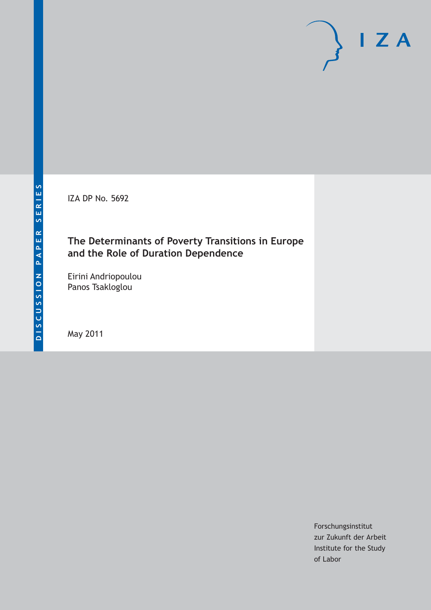IZA DP No. 5692

# **The Determinants of Poverty Transitions in Europe and the Role of Duration Dependence**

Eirini Andriopoulou Panos Tsakloglou

May 2011

Forschungsinstitut zur Zukunft der Arbeit Institute for the Study of Labor

 $I Z A$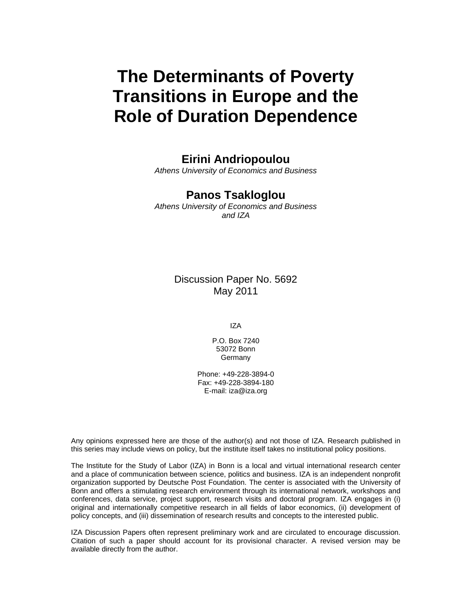# **The Determinants of Poverty Transitions in Europe and the Role of Duration Dependence**

# **Eirini Andriopoulou**

*Athens University of Economics and Business* 

# **Panos Tsakloglou**

*Athens University of Economics and Business and IZA* 

> Discussion Paper No. 5692 May 2011

> > IZA

P.O. Box 7240 53072 Bonn Germany

Phone: +49-228-3894-0 Fax: +49-228-3894-180 E-mail: iza@iza.org

Any opinions expressed here are those of the author(s) and not those of IZA. Research published in this series may include views on policy, but the institute itself takes no institutional policy positions.

The Institute for the Study of Labor (IZA) in Bonn is a local and virtual international research center and a place of communication between science, politics and business. IZA is an independent nonprofit organization supported by Deutsche Post Foundation. The center is associated with the University of Bonn and offers a stimulating research environment through its international network, workshops and conferences, data service, project support, research visits and doctoral program. IZA engages in (i) original and internationally competitive research in all fields of labor economics, (ii) development of policy concepts, and (iii) dissemination of research results and concepts to the interested public.

IZA Discussion Papers often represent preliminary work and are circulated to encourage discussion. Citation of such a paper should account for its provisional character. A revised version may be available directly from the author.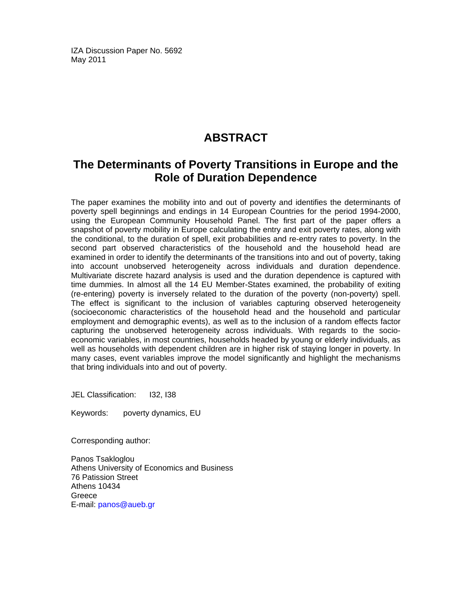IZA Discussion Paper No. 5692 May 2011

# **ABSTRACT**

# **The Determinants of Poverty Transitions in Europe and the Role of Duration Dependence**

The paper examines the mobility into and out of poverty and identifies the determinants of poverty spell beginnings and endings in 14 European Countries for the period 1994-2000, using the European Community Household Panel. The first part of the paper offers a snapshot of poverty mobility in Europe calculating the entry and exit poverty rates, along with the conditional, to the duration of spell, exit probabilities and re-entry rates to poverty. In the second part observed characteristics of the household and the household head are examined in order to identify the determinants of the transitions into and out of poverty, taking into account unobserved heterogeneity across individuals and duration dependence. Multivariate discrete hazard analysis is used and the duration dependence is captured with time dummies. In almost all the 14 EU Member-States examined, the probability of exiting (re-entering) poverty is inversely related to the duration of the poverty (non-poverty) spell. The effect is significant to the inclusion of variables capturing observed heterogeneity (socioeconomic characteristics of the household head and the household and particular employment and demographic events), as well as to the inclusion of a random effects factor capturing the unobserved heterogeneity across individuals. With regards to the socioeconomic variables, in most countries, households headed by young or elderly individuals, as well as households with dependent children are in higher risk of staying longer in poverty. In many cases, event variables improve the model significantly and highlight the mechanisms that bring individuals into and out of poverty.

JEL Classification: I32, I38

Keywords: poverty dynamics, EU

Corresponding author:

Panos Tsakloglou Athens University of Economics and Business 76 Patission Street Athens 10434 Greece E-mail: panos@aueb.gr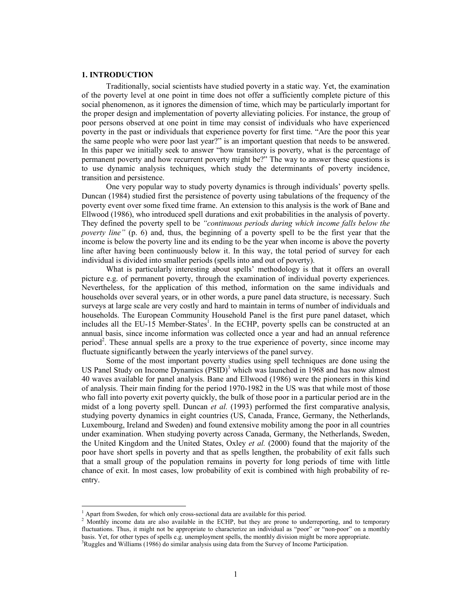### **1. INTRODUCTION**

Traditionally, social scientists have studied poverty in a static way. Yet, the examination of the poverty level at one point in time does not offer a sufficiently complete picture of this social phenomenon, as it ignores the dimension of time, which may be particularly important for the proper design and implementation of poverty alleviating policies. For instance, the group of poor persons observed at one point in time may consist of individuals who have experienced poverty in the past or individuals that experience poverty for first time. "Are the poor this year the same people who were poor last year?" is an important question that needs to be answered. In this paper we initially seek to answer "how transitory is poverty, what is the percentage of permanent poverty and how recurrent poverty might be?" The way to answer these questions is to use dynamic analysis techniques, which study the determinants of poverty incidence, transition and persistence.

One very popular way to study poverty dynamics is through individuals' poverty spells. Duncan (1984) studied first the persistence of poverty using tabulations of the frequency of the poverty event over some fixed time frame. An extension to this analysis is the work of Bane and Ellwood (1986), who introduced spell durations and exit probabilities in the analysis of poverty. They defined the poverty spell to be *"continuous periods during which income falls below the poverty line"* (p. 6) and, thus, the beginning of a poverty spell to be the first year that the income is below the poverty line and its ending to be the year when income is above the poverty line after having been continuously below it. In this way, the total period of survey for each individual is divided into smaller periods (spells into and out of poverty).

What is particularly interesting about spells' methodology is that it offers an overall picture e.g. of permanent poverty, through the examination of individual poverty experiences. Nevertheless, for the application of this method, information on the same individuals and households over several years, or in other words, a pure panel data structure, is necessary. Such surveys at large scale are very costly and hard to maintain in terms of number of individuals and households. The European Community Household Panel is the first pure panel dataset, which includes all the EU-15 Member-States<sup>1</sup>. In the ECHP, poverty spells can be constructed at an annual basis, since income information was collected once a year and had an annual reference period<sup>2</sup>. These annual spells are a proxy to the true experience of poverty, since income may fluctuate significantly between the yearly interviews of the panel survey.

Some of the most important poverty studies using spell techniques are done using the US Panel Study on Income Dynamics  $(PSID)^3$  which was launched in 1968 and has now almost 40 waves available for panel analysis. Bane and Ellwood (1986) were the pioneers in this kind of analysis. Their main finding for the period 1970-1982 in the US was that while most of those who fall into poverty exit poverty quickly, the bulk of those poor in a particular period are in the midst of a long poverty spell. Duncan *et al.* (1993) performed the first comparative analysis, studying poverty dynamics in eight countries (US, Canada, France, Germany, the Netherlands, Luxembourg, Ireland and Sweden) and found extensive mobility among the poor in all countries under examination. When studying poverty across Canada, Germany, the Netherlands, Sweden, the United Kingdom and the United States, Oxley *et al.* (2000) found that the majority of the poor have short spells in poverty and that as spells lengthen, the probability of exit falls such that a small group of the population remains in poverty for long periods of time with little chance of exit. In most cases, low probability of exit is combined with high probability of reentry.

 $\overline{a}$ 

<sup>&</sup>lt;sup>1</sup> Apart from Sweden, for which only cross-sectional data are available for this period.

<sup>&</sup>lt;sup>2</sup> Monthly income data are also available in the ECHP, but they are prone to underreporting, and to temporary fluctuations. Thus, it might not be appropriate to characterize an individual as "poor" or "non-poor" on a monthly basis. Yet, for other types of spells e.g. unemployment spells, the monthly division might be more appropriate.

 $3Rugsles$  and Williams (1986) do similar analysis using data from the Survey of Income Participation.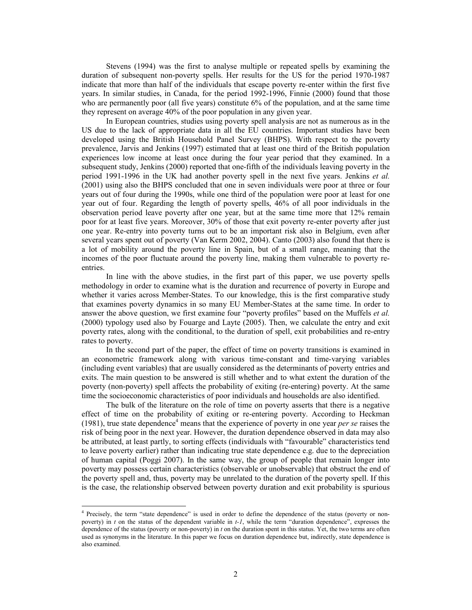Stevens (1994) was the first to analyse multiple or repeated spells by examining the duration of subsequent non-poverty spells. Her results for the US for the period 1970-1987 indicate that more than half of the individuals that escape poverty re-enter within the first five years. In similar studies, in Canada, for the period 1992-1996, Finnie (2000) found that those who are permanently poor (all five years) constitute 6% of the population, and at the same time they represent on average 40% of the poor population in any given year.

In European countries, studies using poverty spell analysis are not as numerous as in the US due to the lack of appropriate data in all the EU countries. Important studies have been developed using the British Household Panel Survey (BHPS). With respect to the poverty prevalence, Jarvis and Jenkins (1997) estimated that at least one third of the British population experiences low income at least once during the four year period that they examined. In a subsequent study, Jenkins (2000) reported that one-fifth of the individuals leaving poverty in the period 1991-1996 in the UK had another poverty spell in the next five years. Jenkins *et al.* (2001) using also the BHPS concluded that one in seven individuals were poor at three or four years out of four during the 1990s, while one third of the population were poor at least for one year out of four. Regarding the length of poverty spells, 46% of all poor individuals in the observation period leave poverty after one year, but at the same time more that 12% remain poor for at least five years. Moreover, 30% of those that exit poverty re-enter poverty after just one year. Re-entry into poverty turns out to be an important risk also in Belgium, even after several years spent out of poverty (Van Kerm 2002, 2004). Canto (2003) also found that there is a lot of mobility around the poverty line in Spain, but of a small range, meaning that the incomes of the poor fluctuate around the poverty line, making them vulnerable to poverty reentries.

In line with the above studies, in the first part of this paper, we use poverty spells methodology in order to examine what is the duration and recurrence of poverty in Europe and whether it varies across Member-States. To our knowledge, this is the first comparative study that examines poverty dynamics in so many EU Member-States at the same time. In order to answer the above question, we first examine four "poverty profiles" based on the Muffels *et al.* (2000) typology used also by Fouarge and Layte (2005). Then, we calculate the entry and exit poverty rates, along with the conditional, to the duration of spell, exit probabilities and re-entry rates to poverty.

In the second part of the paper, the effect of time on poverty transitions is examined in an econometric framework along with various time-constant and time-varying variables (including event variables) that are usually considered as the determinants of poverty entries and exits. The main question to be answered is still whether and to what extent the duration of the poverty (non-poverty) spell affects the probability of exiting (re-entering) poverty. At the same time the socioeconomic characteristics of poor individuals and households are also identified.

The bulk of the literature on the role of time on poverty asserts that there is a negative effect of time on the probability of exiting or re-entering poverty. According to Heckman (1981), true state dependence<sup>4</sup> means that the experience of poverty in one year *per se* raises the risk of being poor in the next year. However, the duration dependence observed in data may also be attributed, at least partly, to sorting effects (individuals with "favourable" characteristics tend to leave poverty earlier) rather than indicating true state dependence e.g. due to the depreciation of human capital (Poggi 2007). In the same way, the group of people that remain longer into poverty may possess certain characteristics (observable or unobservable) that obstruct the end of the poverty spell and, thus, poverty may be unrelated to the duration of the poverty spell. If this is the case, the relationship observed between poverty duration and exit probability is spurious

 $\overline{a}$ 

<sup>&</sup>lt;sup>4</sup> Precisely, the term "state dependence" is used in order to define the dependence of the status (poverty or nonpoverty) in *t* on the status of the dependent variable in *t-1*, while the term "duration dependence", expresses the dependence of the status (poverty or non-poverty) in *t* on the duration spent in this status. Yet, the two terms are often used as synonyms in the literature. In this paper we focus on duration dependence but, indirectly, state dependence is also examined.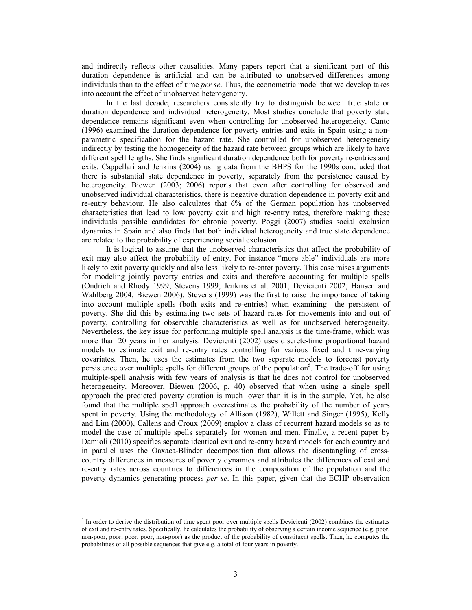and indirectly reflects other causalities. Many papers report that a significant part of this duration dependence is artificial and can be attributed to unobserved differences among individuals than to the effect of time *per se*. Thus, the econometric model that we develop takes into account the effect of unobserved heterogeneity.

In the last decade, researchers consistently try to distinguish between true state or duration dependence and individual heterogeneity. Most studies conclude that poverty state dependence remains significant even when controlling for unobserved heterogeneity. Canto (1996) examined the duration dependence for poverty entries and exits in Spain using a nonparametric specification for the hazard rate. She controlled for unobserved heterogeneity indirectly by testing the homogeneity of the hazard rate between groups which are likely to have different spell lengths. She finds significant duration dependence both for poverty re-entries and exits. Cappellari and Jenkins (2004) using data from the BHPS for the 1990s concluded that there is substantial state dependence in poverty, separately from the persistence caused by heterogeneity. Biewen (2003; 2006) reports that even after controlling for observed and unobserved individual characteristics, there is negative duration dependence in poverty exit and re-entry behaviour. He also calculates that 6% of the German population has unobserved characteristics that lead to low poverty exit and high re-entry rates, therefore making these individuals possible candidates for chronic poverty. Poggi (2007) studies social exclusion dynamics in Spain and also finds that both individual heterogeneity and true state dependence are related to the probability of experiencing social exclusion.

It is logical to assume that the unobserved characteristics that affect the probability of exit may also affect the probability of entry. For instance "more able" individuals are more likely to exit poverty quickly and also less likely to re-enter poverty. This case raises arguments for modeling jointly poverty entries and exits and therefore accounting for multiple spells (Ondrich and Rhody 1999; Stevens 1999; Jenkins et al. 2001; Devicienti 2002; Hansen and Wahlberg 2004; Biewen 2006). Stevens (1999) was the first to raise the importance of taking into account multiple spells (both exits and re-entries) when examining the persistent of poverty. She did this by estimating two sets of hazard rates for movements into and out of poverty, controlling for observable characteristics as well as for unobserved heterogeneity. Nevertheless, the key issue for performing multiple spell analysis is the time-frame, which was more than 20 years in her analysis. Devicienti (2002) uses discrete-time proportional hazard models to estimate exit and re-entry rates controlling for various fixed and time-varying covariates. Then, he uses the estimates from the two separate models to forecast poverty persistence over multiple spells for different groups of the population<sup>5</sup>. The trade-off for using multiple-spell analysis with few years of analysis is that he does not control for unobserved heterogeneity. Moreover, Biewen (2006, p. 40) observed that when using a single spell approach the predicted poverty duration is much lower than it is in the sample. Yet, he also found that the multiple spell approach overestimates the probability of the number of years spent in poverty. Using the methodology of Allison (1982), Willett and Singer (1995), Kelly and Lim (2000), Callens and Croux (2009) employ a class of recurrent hazard models so as to model the case of multiple spells separately for women and men. Finally, a recent paper by Damioli (2010) specifies separate identical exit and re-entry hazard models for each country and in parallel uses the Oaxaca-Blinder decomposition that allows the disentangling of crosscountry differences in measures of poverty dynamics and attributes the differences of exit and re-entry rates across countries to differences in the composition of the population and the poverty dynamics generating process *per se*. In this paper, given that the ECHP observation

 $\overline{a}$ 

 $<sup>5</sup>$  In order to derive the distribution of time spent poor over multiple spells Devicienti (2002) combines the estimates</sup> of exit and re-entry rates. Specifically, he calculates the probability of observing a certain income sequence (e.g. poor, non-poor, poor, poor, poor, non-poor) as the product of the probability of constituent spells. Then, he computes the probabilities of all possible sequences that give e.g. a total of four years in poverty.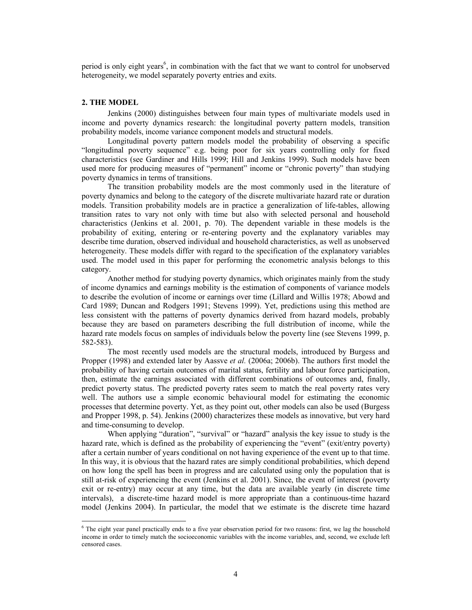period is only eight years<sup>6</sup>, in combination with the fact that we want to control for unobserved heterogeneity, we model separately poverty entries and exits.

### **2. THE MODEL**

 $\overline{a}$ 

Jenkins (2000) distinguishes between four main types of multivariate models used in income and poverty dynamics research: the longitudinal poverty pattern models, transition probability models, income variance component models and structural models.

Longitudinal poverty pattern models model the probability of observing a specific "longitudinal poverty sequence" e.g. being poor for six years controlling only for fixed characteristics (see Gardiner and Hills 1999; Hill and Jenkins 1999). Such models have been used more for producing measures of "permanent" income or "chronic poverty" than studying poverty dynamics in terms of transitions.

The transition probability models are the most commonly used in the literature of poverty dynamics and belong to the category of the discrete multivariate hazard rate or duration models. Transition probability models are in practice a generalization of life-tables, allowing transition rates to vary not only with time but also with selected personal and household characteristics (Jenkins et al. 2001, p. 70). The dependent variable in these models is the probability of exiting, entering or re-entering poverty and the explanatory variables may describe time duration, observed individual and household characteristics, as well as unobserved heterogeneity. These models differ with regard to the specification of the explanatory variables used. The model used in this paper for performing the econometric analysis belongs to this category.

Another method for studying poverty dynamics, which originates mainly from the study of income dynamics and earnings mobility is the estimation of components of variance models to describe the evolution of income or earnings over time (Lillard and Willis 1978; Abowd and Card 1989; Duncan and Rodgers 1991; Stevens 1999). Yet, predictions using this method are less consistent with the patterns of poverty dynamics derived from hazard models, probably because they are based on parameters describing the full distribution of income, while the hazard rate models focus on samples of individuals below the poverty line (see Stevens 1999, p. 582-583).

The most recently used models are the structural models, introduced by Burgess and Propper (1998) and extended later by Aassve *et al.* (2006a; 2006b). The authors first model the probability of having certain outcomes of marital status, fertility and labour force participation, then, estimate the earnings associated with different combinations of outcomes and, finally, predict poverty status. The predicted poverty rates seem to match the real poverty rates very well. The authors use a simple economic behavioural model for estimating the economic processes that determine poverty. Yet, as they point out, other models can also be used (Burgess and Propper 1998, p. 54). Jenkins (2000) characterizes these models as innovative, but very hard and time-consuming to develop.

When applying "duration", "survival" or "hazard" analysis the key issue to study is the hazard rate, which is defined as the probability of experiencing the "event" (exit/entry poverty) after a certain number of years conditional on not having experience of the event up to that time. In this way, it is obvious that the hazard rates are simply conditional probabilities, which depend on how long the spell has been in progress and are calculated using only the population that is still at-risk of experiencing the event (Jenkins et al. 2001). Since, the event of interest (poverty exit or re-entry) may occur at any time, but the data are available yearly (in discrete time intervals), a discrete-time hazard model is more appropriate than a continuous-time hazard model (Jenkins 2004). In particular, the model that we estimate is the discrete time hazard

<sup>6</sup> The eight year panel practically ends to a five year observation period for two reasons: first, we lag the household income in order to timely match the socioeconomic variables with the income variables, and, second, we exclude left censored cases.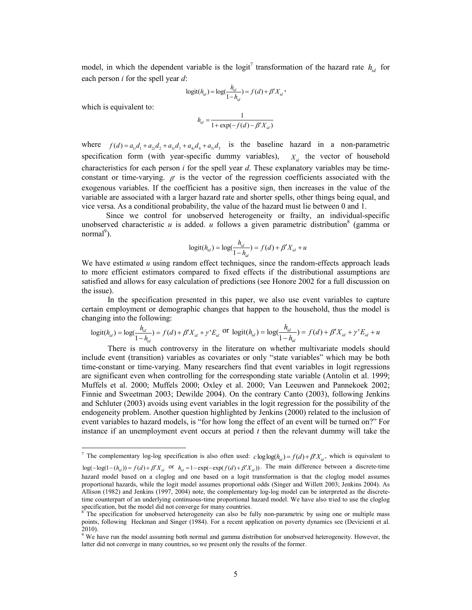model, in which the dependent variable is the logit<sup>7</sup> transformation of the hazard rate  $h_{id}$  for each person *i* for the spell year *d*:

$$
logit(h_{id}) = log(\frac{h_{id}}{1 - h_{id}}) = f(d) + \beta' X_{id} ,
$$

which is equivalent to:

$$
h_{id} = \frac{1}{1 + \exp(-f(d) - \beta' X_{id})}
$$

where  $f(d) = a_{1i}d_1 + a_{2i}d_2 + a_{3i}d_3 + a_{4i}d_4 + a_{5i}d_5$  is the baseline hazard in a non-parametric specification form (with year-specific dummy variables),  $X_{i,d}$  the vector of household characteristics for each person *i* for the spell year *d*. These explanatory variables may be timeconstant or time-varying.  $\beta'$  is the vector of the regression coefficients associated with the exogenous variables. If the coefficient has a positive sign, then increases in the value of the variable are associated with a larger hazard rate and shorter spells, other things being equal, and vice versa. As a conditional probability, the value of the hazard must lie between 0 and 1.

Since we control for unobserved heterogeneity or frailty, an individual-specific unobserved characteristic  $u$  is added.  $u$  follows a given parametric distribution<sup>8</sup> (gamma or normal<sup>9</sup>).

$$
logit(h_{id}) = log(\frac{h_{id}}{1 - h_{id}}) = f(d) + \beta' X_{id} + u
$$

We have estimated  $u$  using random effect techniques, since the random-effects approach leads to more efficient estimators compared to fixed effects if the distributional assumptions are satisfied and allows for easy calculation of predictions (see Honore 2002 for a full discussion on the issue).

In the specification presented in this paper, we also use event variables to capture certain employment or demographic changes that happen to the household, thus the model is changing into the following:

$$
logit(h_{id}) = log(\frac{h_{id}}{1 - h_{id}}) = f(d) + \beta' X_{id} + \gamma' E_{id} \text{ or } logit(h_{id}) = log(\frac{h_{id}}{1 - h_{id}}) = f(d) + \beta' X_{id} + \gamma' E_{id} + u
$$

There is much controversy in the literature on whether multivariate models should include event (transition) variables as covariates or only "state variables" which may be both time-constant or time-varying. Many researchers find that event variables in logit regressions are significant even when controlling for the corresponding state variable (Antolin et al. 1999; Muffels et al. 2000; Muffels 2000; Oxley et al. 2000; Van Leeuwen and Pannekoek 2002; Finnie and Sweetman 2003; Dewilde 2004). On the contrary Canto (2003), following Jenkins and Schluter (2003) avoids using event variables in the logit regression for the possibility of the endogeneity problem. Another question highlighted by Jenkins (2000) related to the inclusion of event variables to hazard models, is "for how long the effect of an event will be turned on?" For instance if an unemployment event occurs at period *t* then the relevant dummy will take the

<sup>&</sup>lt;sup>7</sup> The complementary log-log specification is also often used:  $c \log \log(h_{id}) = f(d) + \beta' X_{id}$ , which is equivalent to  $log(-log(1-(h_{id})) = f(d) + \beta'X_{id}$  or  $h_{id} = 1 - exp(-exp(f(d) + \beta'X_{id}))$ . The main difference between a discrete-time hazard model based on a cloglog and one based on a logit transformation is that the cloglog model assumes proportional hazards, while the logit model assumes proportional odds (Singer and Willett 2003; Jenkins 2004). As Allison (1982) and Jenkins (1997, 2004) note, the complementary log-log model can be interpreted as the discretetime counterpart of an underlying continuous-time proportional hazard model. We have also tried to use the cloglog specification, but the model did not converge for many countries.

<sup>&</sup>lt;sup>8</sup> The specification for unobserved heterogeneity can also be fully non-parametric by using one or multiple mass points, following Heckman and Singer (1984). For a recent application on poverty dynamics see (Devicienti et al. 2010).

<sup>&</sup>lt;sup>9</sup> We have run the model assuming both normal and gamma distribution for unobserved heterogeneity. However, the latter did not converge in many countries, so we present only the results of the former.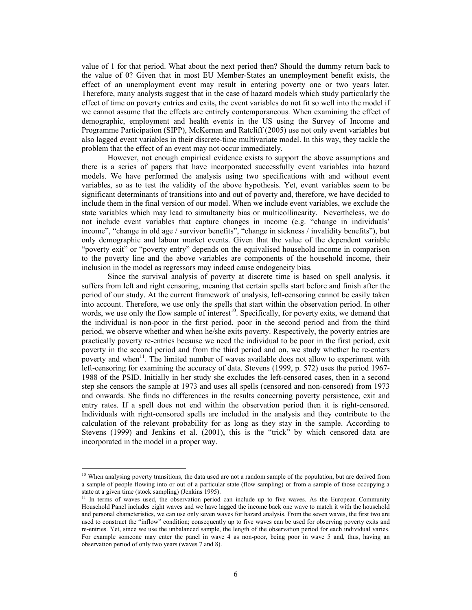value of 1 for that period. What about the next period then? Should the dummy return back to the value of 0? Given that in most EU Member-States an unemployment benefit exists, the effect of an unemployment event may result in entering poverty one or two years later. Therefore, many analysts suggest that in the case of hazard models which study particularly the effect of time on poverty entries and exits, the event variables do not fit so well into the model if we cannot assume that the effects are entirely contemporaneous. When examining the effect of demographic, employment and health events in the US using the Survey of Income and Programme Participation (SIPP), McKernan and Ratcliff (2005) use not only event variables but also lagged event variables in their discrete-time multivariate model. In this way, they tackle the problem that the effect of an event may not occur immediately.

However, not enough empirical evidence exists to support the above assumptions and there is a series of papers that have incorporated successfully event variables into hazard models. We have performed the analysis using two specifications with and without event variables, so as to test the validity of the above hypothesis. Yet, event variables seem to be significant determinants of transitions into and out of poverty and, therefore, we have decided to include them in the final version of our model. When we include event variables, we exclude the state variables which may lead to simultaneity bias or multicollinearity. Nevertheless, we do not include event variables that capture changes in income (e.g. "change in individuals' income", "change in old age / survivor benefits", "change in sickness / invalidity benefits"), but only demographic and labour market events. Given that the value of the dependent variable "poverty exit" or "poverty entry" depends on the equivalised household income in comparison to the poverty line and the above variables are components of the household income, their inclusion in the model as regressors may indeed cause endogeneity bias.

Since the survival analysis of poverty at discrete time is based on spell analysis, it suffers from left and right censoring, meaning that certain spells start before and finish after the period of our study. At the current framework of analysis, left-censoring cannot be easily taken into account. Therefore, we use only the spells that start within the observation period. In other words, we use only the flow sample of interest<sup>10</sup>. Specifically, for poverty exits, we demand that the individual is non-poor in the first period, poor in the second period and from the third period, we observe whether and when he/she exits poverty. Respectively, the poverty entries are practically poverty re-entries because we need the individual to be poor in the first period, exit poverty in the second period and from the third period and on, we study whether he re-enters poverty and when<sup>11</sup>. The limited number of waves available does not allow to experiment with left-censoring for examining the accuracy of data. Stevens (1999, p. 572) uses the period 1967- 1988 of the PSID. Initially in her study she excludes the left-censored cases, then in a second step she censors the sample at 1973 and uses all spells (censored and non-censored) from 1973 and onwards. She finds no differences in the results concerning poverty persistence, exit and entry rates. If a spell does not end within the observation period then it is right-censored. Individuals with right-censored spells are included in the analysis and they contribute to the calculation of the relevant probability for as long as they stay in the sample. According to Stevens (1999) and Jenkins et al. (2001), this is the "trick" by which censored data are incorporated in the model in a proper way.

 $\ddot{\phantom{a}}$ 

<sup>&</sup>lt;sup>10</sup> When analysing poverty transitions, the data used are not a random sample of the population, but are derived from a sample of people flowing into or out of a particular state (flow sampling) or from a sample of those occupying a state at a given time (stock sampling) (Jenkins 1995).

<sup>&</sup>lt;sup>11</sup> In terms of waves used, the observation period can include up to five waves. As the European Community Household Panel includes eight waves and we have lagged the income back one wave to match it with the household and personal characteristics, we can use only seven waves for hazard analysis. From the seven waves, the first two are used to construct the "inflow" condition; consequently up to five waves can be used for observing poverty exits and re-entries. Yet, since we use the unbalanced sample, the length of the observation period for each individual varies. For example someone may enter the panel in wave 4 as non-poor, being poor in wave 5 and, thus, having an observation period of only two years (waves 7 and 8).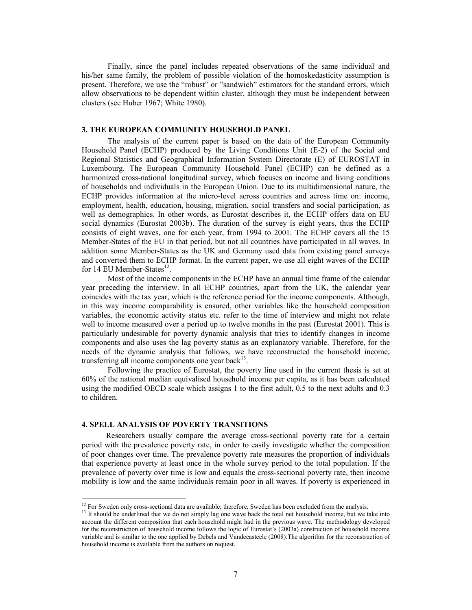Finally, since the panel includes repeated observations of the same individual and his/her same family, the problem of possible violation of the homoskedasticity assumption is present. Therefore, we use the "robust" or "sandwich" estimators for the standard errors, which allow observations to be dependent within cluster, although they must be independent between clusters (see Huber 1967; White 1980).

### **3. THE EUROPEAN COMMUNITY HOUSEHOLD PANEL**

The analysis of the current paper is based on the data of the European Community Household Panel (ECHP) produced by the Living Conditions Unit (E-2) of the Social and Regional Statistics and Geographical Information System Directorate (E) of EUROSTAT in Luxembourg. The European Community Household Panel (ECHP) can be defined as a harmonized cross-national longitudinal survey, which focuses on income and living conditions of households and individuals in the European Union. Due to its multidimensional nature, the ECHP provides information at the micro-level across countries and across time on: income, employment, health, education, housing, migration, social transfers and social participation, as well as demographics. In other words, as Eurostat describes it, the ECHP offers data on EU social dynamics (Eurostat 2003b). The duration of the survey is eight years, thus the ECHP consists of eight waves, one for each year, from 1994 to 2001. The ECHP covers all the 15 Member-States of the EU in that period, but not all countries have participated in all waves. In addition some Member-States as the UK and Germany used data from existing panel surveys and converted them to ECHP format. In the current paper, we use all eight waves of the ECHP for 14 EU Member-States<sup>12</sup>.

Most of the income components in the ECHP have an annual time frame of the calendar year preceding the interview. In all ECHP countries, apart from the UK, the calendar year coincides with the tax year, which is the reference period for the income components. Although, in this way income comparability is ensured, other variables like the household composition variables, the economic activity status etc. refer to the time of interview and might not relate well to income measured over a period up to twelve months in the past (Eurostat 2001). This is particularly undesirable for poverty dynamic analysis that tries to identify changes in income components and also uses the lag poverty status as an explanatory variable. Therefore, for the needs of the dynamic analysis that follows, we have reconstructed the household income, transferring all income components one year back $13$ .

Following the practice of Eurostat, the poverty line used in the current thesis is set at 60% of the national median equivalised household income per capita, as it has been calculated using the modified OECD scale which assigns 1 to the first adult, 0.5 to the next adults and 0.3 to children.

### **4. SPELL ANALYSIS OF POVERTY TRANSITIONS**

 $\overline{a}$ 

Researchers usually compare the average cross-sectional poverty rate for a certain period with the prevalence poverty rate, in order to easily investigate whether the composition of poor changes over time. The prevalence poverty rate measures the proportion of individuals that experience poverty at least once in the whole survey period to the total population. If the prevalence of poverty over time is low and equals the cross-sectional poverty rate, then income mobility is low and the same individuals remain poor in all waves. If poverty is experienced in

 $12$  For Sweden only cross-sectional data are available; therefore, Sweden has been excluded from the analysis.

<sup>&</sup>lt;sup>13</sup> It should be underlined that we do not simply lag one wave back the total net household income, but we take into account the different composition that each household might had in the previous wave. The methodology developed for the reconstruction of household income follows the logic of Eurostat's (2003a) construction of household income variable and is similar to the one applied by Debels and Vandecasteele (2008).The algorithm for the reconstruction of household income is available from the authors on request.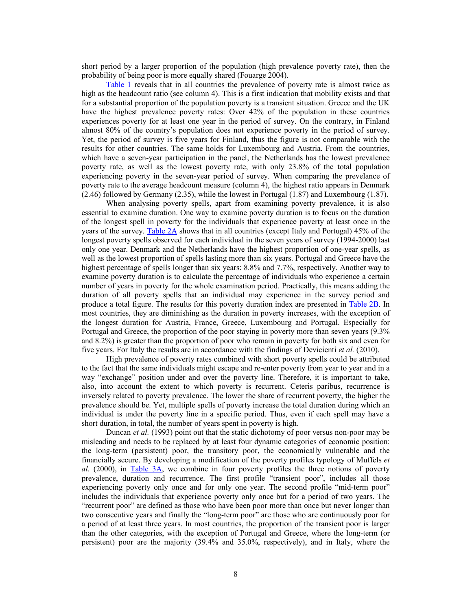short period by a larger proportion of the population (high prevalence poverty rate), then the probability of being poor is more equally shared (Fouarge 2004).

Table 1 reveals that in all countries the prevalence of poverty rate is almost twice as high as the headcount ratio (see column 4). This is a first indication that mobility exists and that for a substantial proportion of the population poverty is a transient situation. Greece and the UK have the highest prevalence poverty rates: Over 42% of the population in these countries experiences poverty for at least one year in the period of survey. On the contrary, in Finland almost 80% of the country's population does not experience poverty in the period of survey. Yet, the period of survey is five years for Finland, thus the figure is not comparable with the results for other countries. The same holds for Luxembourg and Austria. From the countries, which have a seven-year participation in the panel, the Netherlands has the lowest prevalence poverty rate, as well as the lowest poverty rate, with only 23.8% of the total population experiencing poverty in the seven-year period of survey. When comparing the prevelance of poverty rate to the average headcount measure (column 4), the highest ratio appears in Denmark (2.46) followed by Germany (2.35), while the lowest in Portugal (1.87) and Luxembourg (1.87).

When analysing poverty spells, apart from examining poverty prevalence, it is also essential to examine duration. One way to examine poverty duration is to focus on the duration of the longest spell in poverty for the individuals that experience poverty at least once in the years of the survey. Table 2A shows that in all countries (except Italy and Portugal) 45% of the longest poverty spells observed for each individual in the seven years of survey (1994-2000) last only one year. Denmark and the Netherlands have the highest proportion of one-year spells, as well as the lowest proportion of spells lasting more than six years. Portugal and Greece have the highest percentage of spells longer than six years: 8.8% and 7.7%, respectively. Another way to examine poverty duration is to calculate the percentage of individuals who experience a certain number of years in poverty for the whole examination period. Practically, this means adding the duration of all poverty spells that an individual may experience in the survey period and produce a total figure. The results for this poverty duration index are presented in Table 2B. In most countries, they are diminishing as the duration in poverty increases, with the exception of the longest duration for Austria, France, Greece, Luxembourg and Portugal. Especially for Portugal and Greece, the proportion of the poor staying in poverty more than seven years (9.3% and 8.2%) is greater than the proportion of poor who remain in poverty for both six and even for five years. For Italy the results are in accordance with the findings of Devicienti *et al.* (2010).

High prevalence of poverty rates combined with short poverty spells could be attributed to the fact that the same individuals might escape and re-enter poverty from year to year and in a way "exchange" position under and over the poverty line. Therefore, it is important to take, also, into account the extent to which poverty is recurrent. Ceteris paribus, recurrence is inversely related to poverty prevalence. The lower the share of recurrent poverty, the higher the prevalence should be. Yet, multiple spells of poverty increase the total duration during which an individual is under the poverty line in a specific period. Thus, even if each spell may have a short duration, in total, the number of years spent in poverty is high.

Duncan *et al.* (1993) point out that the static dichotomy of poor versus non-poor may be misleading and needs to be replaced by at least four dynamic categories of economic position: the long-term (persistent) poor, the transitory poor, the economically vulnerable and the financially secure. By developing a modification of the poverty profiles typology of Muffels *et al.* (2000), in Table 3A, we combine in four poverty profiles the three notions of poverty prevalence, duration and recurrence. The first profile "transient poor", includes all those experiencing poverty only once and for only one year. The second profile "mid-term poor" includes the individuals that experience poverty only once but for a period of two years. The "recurrent poor" are defined as those who have been poor more than once but never longer than two consecutive years and finally the "long-term poor" are those who are continuously poor for a period of at least three years. In most countries, the proportion of the transient poor is larger than the other categories, with the exception of Portugal and Greece, where the long-term (or persistent) poor are the majority (39.4% and 35.0%, respectively), and in Italy, where the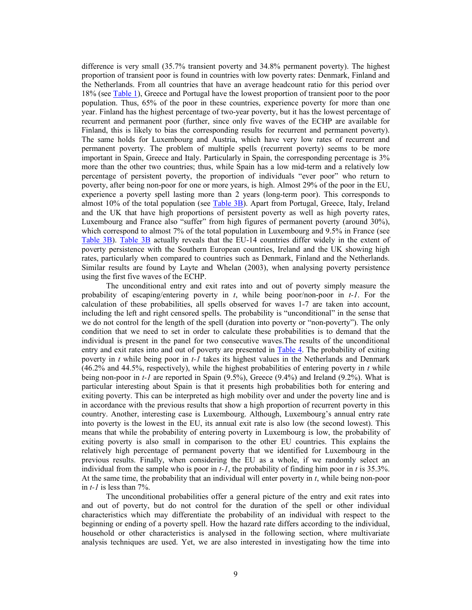difference is very small (35.7% transient poverty and 34.8% permanent poverty). The highest proportion of transient poor is found in countries with low poverty rates: Denmark, Finland and the Netherlands. From all countries that have an average headcount ratio for this period over 18% (see Table 1), Greece and Portugal have the lowest proportion of transient poor to the poor population. Thus, 65% of the poor in these countries, experience poverty for more than one year. Finland has the highest percentage of two-year poverty, but it has the lowest percentage of recurrent and permanent poor (further, since only five waves of the ECHP are available for Finland, this is likely to bias the corresponding results for recurrent and permanent poverty). The same holds for Luxembourg and Austria, which have very low rates of recurrent and permanent poverty. The problem of multiple spells (recurrent poverty) seems to be more important in Spain, Greece and Italy. Particularly in Spain, the corresponding percentage is 3% more than the other two countries; thus, while Spain has a low mid-term and a relatively low percentage of persistent poverty, the proportion of individuals "ever poor" who return to poverty, after being non-poor for one or more years, is high. Almost 29% of the poor in the EU, experience a poverty spell lasting more than 2 years (long-term poor). This corresponds to almost 10% of the total population (see Table 3B). Apart from Portugal, Greece, Italy, Ireland and the UK that have high proportions of persistent poverty as well as high poverty rates, Luxembourg and France also "suffer" from high figures of permanent poverty (around 30%), which correspond to almost 7% of the total population in Luxembourg and 9.5% in France (see Table 3B). Table 3B actually reveals that the EU-14 countries differ widely in the extent of poverty persistence with the Southern European countries, Ireland and the UK showing high rates, particularly when compared to countries such as Denmark, Finland and the Netherlands. Similar results are found by Layte and Whelan (2003), when analysing poverty persistence using the first five waves of the ECHP.

The unconditional entry and exit rates into and out of poverty simply measure the probability of escaping/entering poverty in *t*, while being poor/non-poor in *t-1*. For the calculation of these probabilities, all spells observed for waves 1-7 are taken into account, including the left and right censored spells. The probability is "unconditional" in the sense that we do not control for the length of the spell (duration into poverty or "non-poverty"). The only condition that we need to set in order to calculate these probabilities is to demand that the individual is present in the panel for two consecutive waves.The results of the unconditional entry and exit rates into and out of poverty are presented in Table 4. The probability of exiting poverty in *t* while being poor in *t-1* takes its highest values in the Netherlands and Denmark (46.2% and 44.5%, respectively), while the highest probabilities of entering poverty in *t* while being non-poor in *t-1* are reported in Spain (9.5%), Greece (9.4%) and Ireland (9.2%). What is particular interesting about Spain is that it presents high probabilities both for entering and exiting poverty. This can be interpreted as high mobility over and under the poverty line and is in accordance with the previous results that show a high proportion of recurrent poverty in this country. Another, interesting case is Luxembourg. Although, Luxembourg's annual entry rate into poverty is the lowest in the EU, its annual exit rate is also low (the second lowest). This means that while the probability of entering poverty in Luxembourg is low, the probability of exiting poverty is also small in comparison to the other EU countries. This explains the relatively high percentage of permanent poverty that we identified for Luxembourg in the previous results. Finally, when considering the EU as a whole, if we randomly select an individual from the sample who is poor in *t-1*, the probability of finding him poor in *t* is 35.3%. At the same time, the probability that an individual will enter poverty in *t*, while being non-poor in  $t$ - $I$  is less than  $7\%$ .

The unconditional probabilities offer a general picture of the entry and exit rates into and out of poverty, but do not control for the duration of the spell or other individual characteristics which may differentiate the probability of an individual with respect to the beginning or ending of a poverty spell. How the hazard rate differs according to the individual, household or other characteristics is analysed in the following section, where multivariate analysis techniques are used. Yet, we are also interested in investigating how the time into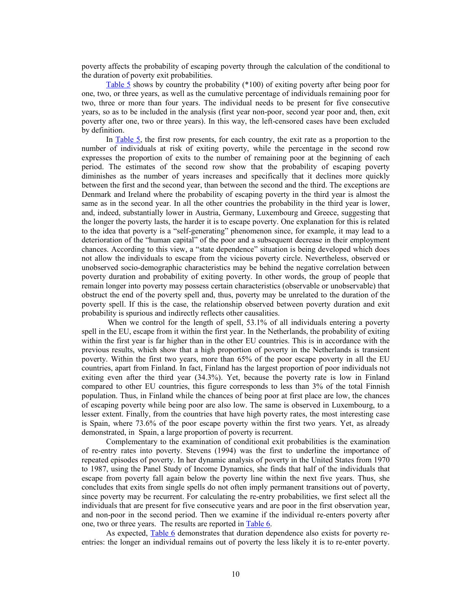poverty affects the probability of escaping poverty through the calculation of the conditional to the duration of poverty exit probabilities.

Table 5 shows by country the probability (\*100) of exiting poverty after being poor for one, two, or three years, as well as the cumulative percentage of individuals remaining poor for two, three or more than four years. The individual needs to be present for five consecutive years, so as to be included in the analysis (first year non-poor, second year poor and, then, exit poverty after one, two or three years). In this way, the left-censored cases have been excluded by definition.

In Table 5, the first row presents, for each country, the exit rate as a proportion to the number of individuals at risk of exiting poverty, while the percentage in the second row expresses the proportion of exits to the number of remaining poor at the beginning of each period. The estimates of the second row show that the probability of escaping poverty diminishes as the number of years increases and specifically that it declines more quickly between the first and the second year, than between the second and the third. The exceptions are Denmark and Ireland where the probability of escaping poverty in the third year is almost the same as in the second year. In all the other countries the probability in the third year is lower, and, indeed, substantially lower in Austria, Germany, Luxembourg and Greece, suggesting that the longer the poverty lasts, the harder it is to escape poverty. One explanation for this is related to the idea that poverty is a "self-generating" phenomenon since, for example, it may lead to a deterioration of the "human capital" of the poor and a subsequent decrease in their employment chances. According to this view, a "state dependence" situation is being developed which does not allow the individuals to escape from the vicious poverty circle. Nevertheless, observed or unobserved socio-demographic characteristics may be behind the negative correlation between poverty duration and probability of exiting poverty. In other words, the group of people that remain longer into poverty may possess certain characteristics (observable or unobservable) that obstruct the end of the poverty spell and, thus, poverty may be unrelated to the duration of the poverty spell. If this is the case, the relationship observed between poverty duration and exit probability is spurious and indirectly reflects other causalities.

When we control for the length of spell, 53.1% of all individuals entering a poverty spell in the EU, escape from it within the first year. In the Netherlands, the probability of exiting within the first year is far higher than in the other EU countries. This is in accordance with the previous results, which show that a high proportion of poverty in the Netherlands is transient poverty. Within the first two years, more than 65% of the poor escape poverty in all the EU countries, apart from Finland. In fact, Finland has the largest proportion of poor individuals not exiting even after the third year (34.3%). Yet, because the poverty rate is low in Finland compared to other EU countries, this figure corresponds to less than 3% of the total Finnish population. Thus, in Finland while the chances of being poor at first place are low, the chances of escaping poverty while being poor are also low. The same is observed in Luxembourg, to a lesser extent. Finally, from the countries that have high poverty rates, the most interesting case is Spain, where 73.6% of the poor escape poverty within the first two years. Yet, as already demonstrated, in Spain, a large proportion of poverty is recurrent.

Complementary to the examination of conditional exit probabilities is the examination of re-entry rates into poverty. Stevens (1994) was the first to underline the importance of repeated episodes of poverty. In her dynamic analysis of poverty in the United States from 1970 to 1987, using the Panel Study of Income Dynamics, she finds that half of the individuals that escape from poverty fall again below the poverty line within the next five years. Thus, she concludes that exits from single spells do not often imply permanent transitions out of poverty, since poverty may be recurrent. For calculating the re-entry probabilities, we first select all the individuals that are present for five consecutive years and are poor in the first observation year, and non-poor in the second period. Then we examine if the individual re-enters poverty after one, two or three years. The results are reported in Table 6.

As expected, Table 6 demonstrates that duration dependence also exists for poverty reentries: the longer an individual remains out of poverty the less likely it is to re-enter poverty.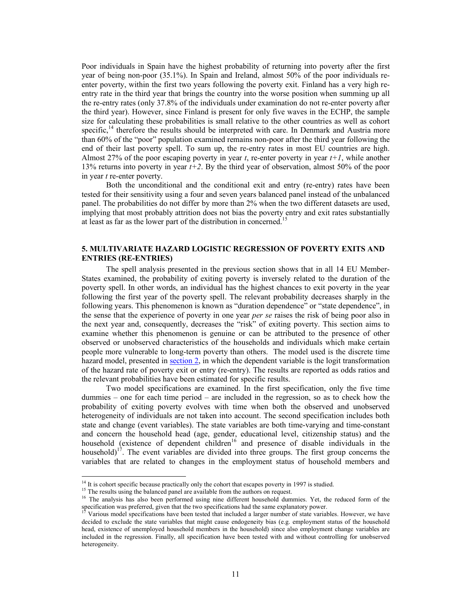Poor individuals in Spain have the highest probability of returning into poverty after the first year of being non-poor (35.1%). In Spain and Ireland, almost 50% of the poor individuals reenter poverty, within the first two years following the poverty exit. Finland has a very high reentry rate in the third year that brings the country into the worse position when summing up all the re-entry rates (only 37.8% of the individuals under examination do not re-enter poverty after the third year). However, since Finland is present for only five waves in the ECHP, the sample size for calculating these probabilities is small relative to the other countries as well as cohort specific,<sup>14</sup> therefore the results should be interpreted with care. In Denmark and Austria more than 60% of the "poor" population examined remains non-poor after the third year following the end of their last poverty spell. To sum up, the re-entry rates in most EU countries are high. Almost 27% of the poor escaping poverty in year *t*, re-enter poverty in year *t+1*, while another 13% returns into poverty in year *t+2*. By the third year of observation, almost 50% of the poor in year *t* re-enter poverty.

Both the unconditional and the conditional exit and entry (re-entry) rates have been tested for their sensitivity using a four and seven years balanced panel instead of the unbalanced panel. The probabilities do not differ by more than 2% when the two different datasets are used, implying that most probably attrition does not bias the poverty entry and exit rates substantially at least as far as the lower part of the distribution in concerned.<sup>15</sup>

## **5. MULTIVARIATE HAZARD LOGISTIC REGRESSION OF POVERTY EXITS AND ENTRIES (RE-ENTRIES)**

The spell analysis presented in the previous section shows that in all 14 EU Member-States examined, the probability of exiting poverty is inversely related to the duration of the poverty spell. In other words, an individual has the highest chances to exit poverty in the year following the first year of the poverty spell. The relevant probability decreases sharply in the following years. This phenomenon is known as "duration dependence" or "state dependence", in the sense that the experience of poverty in one year *per se* raises the risk of being poor also in the next year and, consequently, decreases the "risk" of exiting poverty. This section aims to examine whether this phenomenon is genuine or can be attributed to the presence of other observed or unobserved characteristics of the households and individuals which make certain people more vulnerable to long-term poverty than others. The model used is the discrete time hazard model, presented in section 2, in which the dependent variable is the logit transformation of the hazard rate of poverty exit or entry (re-entry). The results are reported as odds ratios and the relevant probabilities have been estimated for specific results.

Two model specifications are examined. In the first specification, only the five time dummies – one for each time period – are included in the regression, so as to check how the probability of exiting poverty evolves with time when both the observed and unobserved heterogeneity of individuals are not taken into account. The second specification includes both state and change (event variables). The state variables are both time-varying and time-constant and concern the household head (age, gender, educational level, citizenship status) and the household (existence of dependent children<sup>16</sup> and presence of disable individuals in the household)<sup>17</sup>. The event variables are divided into three groups. The first group concerns the variables that are related to changes in the employment status of household members and

 $\ddot{\phantom{a}}$ 

 $14$  It is cohort specific because practically only the cohort that escapes poverty in 1997 is studied.

<sup>&</sup>lt;sup>15</sup> The results using the balanced panel are available from the authors on request.

<sup>&</sup>lt;sup>16</sup> The analysis has also been performed using nine different household dummies. Yet, the reduced form of the specification was preferred, given that the two specifications had the same explanatory power.

<sup>17</sup> Various model specifications have been tested that included a larger number of state variables. However, we have decided to exclude the state variables that might cause endogeneity bias (e.g. employment status of the household head, existence of unemployed household members in the household) since also employment change variables are included in the regression. Finally, all specification have been tested with and without controlling for unobserved heterogeneity.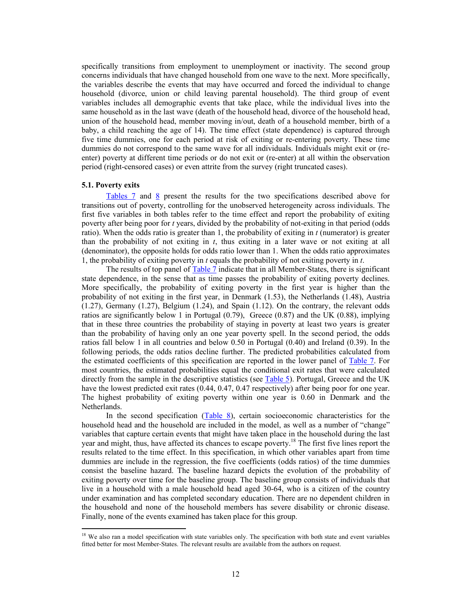specifically transitions from employment to unemployment or inactivity. The second group concerns individuals that have changed household from one wave to the next. More specifically, the variables describe the events that may have occurred and forced the individual to change household (divorce, union or child leaving parental household). The third group of event variables includes all demographic events that take place, while the individual lives into the same household as in the last wave (death of the household head, divorce of the household head, union of the household head, member moving in/out, death of a household member, birth of a baby, a child reaching the age of 14). The time effect (state dependence) is captured through five time dummies, one for each period at risk of exiting or re-entering poverty. These time dummies do not correspond to the same wave for all individuals. Individuals might exit or (reenter) poverty at different time periods or do not exit or (re-enter) at all within the observation period (right-censored cases) or even attrite from the survey (right truncated cases).

### **5.1. Poverty exits**

 $\ddot{\phantom{a}}$ 

Tables 7 and 8 present the results for the two specifications described above for transitions out of poverty, controlling for the unobserved heterogeneity across individuals. The first five variables in both tables refer to the time effect and report the probability of exiting poverty after being poor for *t* years, divided by the probability of not-exiting in that period (odds ratio). When the odds ratio is greater than 1, the probability of exiting in *t* (numerator) is greater than the probability of not exiting in *t*, thus exiting in a later wave or not exiting at all (denominator), the opposite holds for odds ratio lower than 1. When the odds ratio approximates 1, the probability of exiting poverty in *t* equals the probability of not exiting poverty in *t*.

The results of top panel of Table 7 indicate that in all Member-States, there is significant state dependence, in the sense that as time passes the probability of exiting poverty declines. More specifically, the probability of exiting poverty in the first year is higher than the probability of not exiting in the first year, in Denmark (1.53), the Netherlands (1.48), Austria (1.27), Germany (1.27), Belgium (1.24), and Spain (1.12). On the contrary, the relevant odds ratios are significantly below 1 in Portugal (0.79), Greece (0.87) and the UK (0.88), implying that in these three countries the probability of staying in poverty at least two years is greater than the probability of having only an one year poverty spell. In the second period, the odds ratios fall below 1 in all countries and below 0.50 in Portugal (0.40) and Ireland (0.39). In the following periods, the odds ratios decline further. The predicted probabilities calculated from the estimated coefficients of this specification are reported in the lower panel of Table 7. For most countries, the estimated probabilities equal the conditional exit rates that were calculated directly from the sample in the descriptive statistics (see Table 5). Portugal, Greece and the UK have the lowest predicted exit rates (0.44, 0.47, 0.47 respectively) after being poor for one year. The highest probability of exiting poverty within one year is 0.60 in Denmark and the Netherlands.

In the second specification (Table 8), certain socioeconomic characteristics for the household head and the household are included in the model, as well as a number of "change" variables that capture certain events that might have taken place in the household during the last year and might, thus, have affected its chances to escape poverty.<sup>18</sup> The first five lines report the results related to the time effect. In this specification, in which other variables apart from time dummies are include in the regression, the five coefficients (odds ratios) of the time dummies consist the baseline hazard. The baseline hazard depicts the evolution of the probability of exiting poverty over time for the baseline group. The baseline group consists of individuals that live in a household with a male household head aged 30-64, who is a citizen of the country under examination and has completed secondary education. There are no dependent children in the household and none of the household members has severe disability or chronic disease. Finally, none of the events examined has taken place for this group.

<sup>&</sup>lt;sup>18</sup> We also ran a model specification with state variables only. The specification with both state and event variables fitted better for most Member-States. The relevant results are available from the authors on request.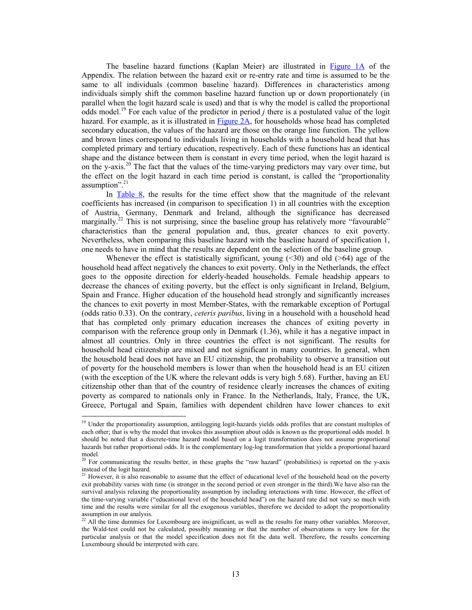The baseline hazard functions (Kaplan Meier) are illustrated in Figure 1A of the Appendix. The relation between the hazard exit or re-entry rate and time is assumed to be the same to all individuals (common baseline hazard). Differences in characteristics among individuals simply shift the common baseline hazard function up or down proportionately (in parallel when the logit hazard scale is used) and that is why the model is called the proportional odds model.<sup>19</sup> For each value of the predictor in period *j* there is a postulated value of the logit hazard. For example, as it is illustrated in Figure 2A, for households whose head has completed secondary education, the values of the hazard are those on the orange line function. The yellow and brown lines correspond to individuals living in households with a household head that has completed primary and tertiary education, respectively. Each of these functions has an identical shape and the distance between them is constant in every time period, when the logit hazard is on the y-axis.<sup>20</sup> The fact that the values of the time-varying predictors may vary over time, but the effect on the logit hazard in each time period is constant, is called the "proportionality assumption".<sup>21</sup>

In Table 8, the results for the time effect show that the magnitude of the relevant coefficients has increased (in comparison to specification 1) in all countries with the exception of Austria, Germany, Denmark and Ireland, although the significance has decreased marginally.<sup>22</sup> This is not surprising, since the baseline group has relatively more "favourable" characteristics than the general population and, thus, greater chances to exit poverty. Nevertheless, when comparing this baseline hazard with the baseline hazard of specification 1, one needs to have in mind that the results are dependent on the selection of the baseline group.

Whenever the effect is statistically significant, young  $(\leq 30)$  and old  $(\geq 64)$  age of the household head affect negatively the chances to exit poverty. Only in the Netherlands, the effect goes to the opposite direction for elderly-headed households. Female headship appears to decrease the chances of exiting poverty, but the effect is only significant in Ireland, Belgium, Spain and France. Higher education of the household head strongly and significantly increases the chances to exit poverty in most Member-States, with the remarkable exception of Portugal (odds ratio 0.33). On the contrary, *ceteris paribus*, living in a household with a household head that has completed only primary education increases the chances of exiting poverty in comparison with the reference group only in Denmark (1.36), while it has a negative impact in almost all countries. Only in three countries the effect is not significant. The results for household head citizenship are mixed and not significant in many countries. In general, when the household head does not have an EU citizenship, the probability to observe a transition out of poverty for the household members is lower than when the household head is an EU citizen (with the exception of the UK where the relevant odds is very high 5.68). Further, having an EU citizenship other than that of the country of residence clearly increases the chances of exiting poverty as compared to nationals only in France. In the Netherlands, Italy, France, the UK, Greece, Portugal and Spain, families with dependent children have lower chances to exit

 $\ddot{\phantom{a}}$ 

<sup>&</sup>lt;sup>19</sup> Under the proportionality assumption, antilogging logit-hazards yields odds profiles that are constant multiples of each other; that is why the model that invokes this assumption about odds is known as the proportional odds model. It should be noted that a discrete-time hazard model based on a logit transformation does not assume proportional hazards but rather proportional odds. It is the complementary log-log transformation that yields a proportional hazard model.

<sup>&</sup>lt;sup>20</sup> For communicating the results better, in these graphs the "raw hazard" (probabilities) is reported on the y-axis instead of the logit hazard.

<sup>&</sup>lt;sup>21</sup> However, it is also reasonable to assume that the effect of educational level of the household head on the poverty exit probability varies with time (is stronger in the second period or even stronger in the third).We have also ran the survival analysis relaxing the proportionality assumption by including interactions with time. Howecer, the effect of the time-varying variable ("educational level of the household head") on the hazard rate did not vary so much with time and the results were similar for all the exogenous variables, therefore we decided to adopt the proportionality assumption in our analysis.

<sup>&</sup>lt;sup>22</sup> All the time dummies for Luxembourg are insignificant, as well as the results for many other variables. Moreover, the Wald-test could not be calculated, possibly meaning or that the number of observations is very low for the particular analysis or that the model specification does not fit the data well. Therefore, the results concerning Luxembourg should be interpreted with care.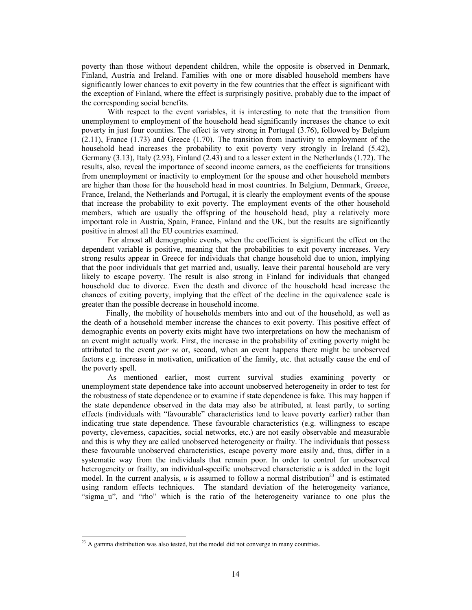poverty than those without dependent children, while the opposite is observed in Denmark, Finland, Austria and Ireland. Families with one or more disabled household members have significantly lower chances to exit poverty in the few countries that the effect is significant with the exception of Finland, where the effect is surprisingly positive, probably due to the impact of the corresponding social benefits.

With respect to the event variables, it is interesting to note that the transition from unemployment to employment of the household head significantly increases the chance to exit poverty in just four counties. The effect is very strong in Portugal (3.76), followed by Belgium (2.11), France (1.73) and Greece (1.70). The transition from inactivity to employment of the household head increases the probability to exit poverty very strongly in Ireland (5.42), Germany (3.13), Italy (2.93), Finland (2.43) and to a lesser extent in the Netherlands (1.72). The results, also, reveal the importance of second income earners, as the coefficients for transitions from unemployment or inactivity to employment for the spouse and other household members are higher than those for the household head in most countries. In Belgium, Denmark, Greece, France, Ireland, the Netherlands and Portugal, it is clearly the employment events of the spouse that increase the probability to exit poverty. The employment events of the other household members, which are usually the offspring of the household head, play a relatively more important role in Austria, Spain, France, Finland and the UK, but the results are significantly positive in almost all the EU countries examined.

For almost all demographic events, when the coefficient is significant the effect on the dependent variable is positive, meaning that the probabilities to exit poverty increases. Very strong results appear in Greece for individuals that change household due to union, implying that the poor individuals that get married and, usually, leave their parental household are very likely to escape poverty. The result is also strong in Finland for individuals that changed household due to divorce. Even the death and divorce of the household head increase the chances of exiting poverty, implying that the effect of the decline in the equivalence scale is greater than the possible decrease in household income.

Finally, the mobility of households members into and out of the household, as well as the death of a household member increase the chances to exit poverty. This positive effect of demographic events on poverty exits might have two interpretations on how the mechanism of an event might actually work. First, the increase in the probability of exiting poverty might be attributed to the event *per se* or, second, when an event happens there might be unobserved factors e.g. increase in motivation, unification of the family, etc. that actually cause the end of the poverty spell.

As mentioned earlier, most current survival studies examining poverty or unemployment state dependence take into account unobserved heterogeneity in order to test for the robustness of state dependence or to examine if state dependence is fake. This may happen if the state dependence observed in the data may also be attributed, at least partly, to sorting effects (individuals with "favourable" characteristics tend to leave poverty earlier) rather than indicating true state dependence. These favourable characteristics (e.g. willingness to escape poverty, cleverness, capacities, social networks, etc.) are not easily observable and measurable and this is why they are called unobserved heterogeneity or frailty. The individuals that possess these favourable unobserved characteristics, escape poverty more easily and, thus, differ in a systematic way from the individuals that remain poor. In order to control for unobserved heterogeneity or frailty, an individual-specific unobserved characteristic *u* is added in the logit model. In the current analysis, *u* is assumed to follow a normal distribution<sup>23</sup> and is estimated using random effects techniques. The standard deviation of the heterogeneity variance, "sigma u", and "rho" which is the ratio of the heterogeneity variance to one plus the

 $\ddot{\phantom{a}}$ 

 $^{23}$  A gamma distribution was also tested, but the model did not converge in many countries.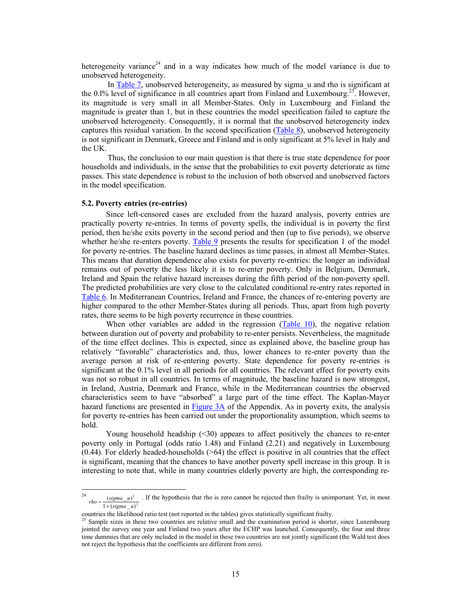heterogeneity variance<sup>24</sup> and in a way indicates how much of the model variance is due to unobserved heterogeneity.

In Table 7, unobserved heterogeneity, as measured by sigma u and rho is significant at the 0.1% level of significance in all countries apart from Finland and Luxembourg.<sup>25</sup>. However, its magnitude is very small in all Member-States. Only in Luxembourg and Finland the magnitude is greater than 1, but in these countries the model specification failed to capture the unobserved heterogeneity. Consequently, it is normal that the unobserved heterogeneity index captures this residual variation. In the second specification (Table 8), unobserved heterogeneity is not significant in Denmark, Greece and Finland and is only significant at 5% level in Italy and the UK.

Thus, the conclusion to our main question is that there is true state dependence for poor households and individuals, in the sense that the probabilities to exit poverty deteriorate as time passes. This state dependence is robust to the inclusion of both observed and unobserved factors in the model specification.

### **5.2. Poverty entries (re-entries)**

Since left-censored cases are excluded from the hazard analysis, poverty entries are practically poverty re-entries. In terms of poverty spells, the individual is in poverty the first period, then he/she exits poverty in the second period and then (up to five periods), we observe whether he/she re-enters poverty. Table 9 presents the results for specification 1 of the model for poverty re-entries. The baseline hazard declines as time passes, in almost all Member-States. This means that duration dependence also exists for poverty re-entries: the longer an individual remains out of poverty the less likely it is to re-enter poverty. Only in Belgium, Denmark, Ireland and Spain the relative hazard increases during the fifth period of the non-poverty spell. The predicted probabilities are very close to the calculated conditional re-entry rates reported in Table 6. In Mediterranean Countries, Ireland and France, the chances of re-entering poverty are higher compared to the other Member-States during all periods. Thus, apart from high poverty rates, there seems to be high poverty recurrence in these countries.

When other variables are added in the regression (Table 10), the negative relation between duration out of poverty and probability to re-enter persists. Nevertheless, the magnitude of the time effect declines. This is expected, since as explained above, the baseline group has relatively "favorable" characteristics and, thus, lower chances to re-enter poverty than the average person at risk of re-entering poverty. State dependence for poverty re-entries is significant at the 0.1% level in all periods for all countries. The relevant effect for poverty exits was not so robust in all countries. In terms of magnitude, the baseline hazard is now strongest, in Ireland, Austria, Denmark and France, while in the Mediterranean countries the observed characteristics seem to have "absorbed" a large part of the time effect. The Kaplan-Mayer hazard functions are presented in Figure 3A of the Appendix. As in poverty exits, the analysis for poverty re-entries has been carried out under the proportionality assumption, which seems to hold.

Young household headship (<30) appears to affect positively the chances to re-enter poverty only in Portugal (odds ratio 1.48) and Finland (2.21) and negatively in Luxembourg  $(0.44)$ . For elderly headed-households  $($ >64) the effect is positive in all countries that the effect is significant, meaning that the chances to have another poverty spell increase in this group. It is interesting to note that, while in many countries elderly poverty are high, the corresponding re-

<sup>&</sup>lt;sup>24</sup>  $1 + (sigma_u u)^2$  $(sigma_u)^2$ . If the hypothesis that rho is zero cannot be rejected then frailty is unimportant. Yet, in most *rho* =

countries the likelihood ratio test (not reported in the tables) gives statistically significant frailty.

Sample sizes in these two countries are relative small and the examination period is shorter, since Luxembourg jointed the survey one year and Finland two years after the ECHP was launched. Consequently, the four and three time dummies that are only included in the model in these two countries are not jointly significant (the Wald test does not reject the hypothesis that the coefficients are different from zero).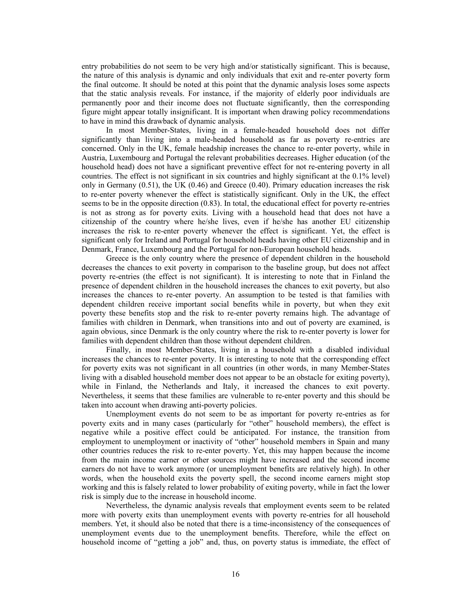entry probabilities do not seem to be very high and/or statistically significant. This is because, the nature of this analysis is dynamic and only individuals that exit and re-enter poverty form the final outcome. It should be noted at this point that the dynamic analysis loses some aspects that the static analysis reveals. For instance, if the majority of elderly poor individuals are permanently poor and their income does not fluctuate significantly, then the corresponding figure might appear totally insignificant. It is important when drawing policy recommendations to have in mind this drawback of dynamic analysis.

In most Member-States, living in a female-headed household does not differ significantly than living into a male-headed household as far as poverty re-entries are concerned. Only in the UK, female headship increases the chance to re-enter poverty, while in Austria, Luxembourg and Portugal the relevant probabilities decreases. Higher education (of the household head) does not have a significant preventive effect for not re-entering poverty in all countries. The effect is not significant in six countries and highly significant at the 0.1% level) only in Germany (0.51), the UK (0.46) and Greece (0.40). Primary education increases the risk to re-enter poverty whenever the effect is statistically significant. Only in the UK, the effect seems to be in the opposite direction (0.83). In total, the educational effect for poverty re-entries is not as strong as for poverty exits. Living with a household head that does not have a citizenship of the country where he/she lives, even if he/she has another EU citizenship increases the risk to re-enter poverty whenever the effect is significant. Yet, the effect is significant only for Ireland and Portugal for household heads having other EU citizenship and in Denmark, France, Luxembourg and the Portugal for non-European household heads.

Greece is the only country where the presence of dependent children in the household decreases the chances to exit poverty in comparison to the baseline group, but does not affect poverty re-entries (the effect is not significant). It is interesting to note that in Finland the presence of dependent children in the household increases the chances to exit poverty, but also increases the chances to re-enter poverty. An assumption to be tested is that families with dependent children receive important social benefits while in poverty, but when they exit poverty these benefits stop and the risk to re-enter poverty remains high. The advantage of families with children in Denmark, when transitions into and out of poverty are examined, is again obvious, since Denmark is the only country where the risk to re-enter poverty is lower for families with dependent children than those without dependent children.

Finally, in most Member-States, living in a household with a disabled individual increases the chances to re-enter poverty. It is interesting to note that the corresponding effect for poverty exits was not significant in all countries (in other words, in many Member-States living with a disabled household member does not appear to be an obstacle for exiting poverty), while in Finland, the Netherlands and Italy, it increased the chances to exit poverty. Nevertheless, it seems that these families are vulnerable to re-enter poverty and this should be taken into account when drawing anti-poverty policies.

Unemployment events do not seem to be as important for poverty re-entries as for poverty exits and in many cases (particularly for "other" household members), the effect is negative while a positive effect could be anticipated. For instance, the transition from employment to unemployment or inactivity of "other" household members in Spain and many other countries reduces the risk to re-enter poverty. Yet, this may happen because the income from the main income earner or other sources might have increased and the second income earners do not have to work anymore (or unemployment benefits are relatively high). In other words, when the household exits the poverty spell, the second income earners might stop working and this is falsely related to lower probability of exiting poverty, while in fact the lower risk is simply due to the increase in household income.

Nevertheless, the dynamic analysis reveals that employment events seem to be related more with poverty exits than unemployment events with poverty re-entries for all household members. Yet, it should also be noted that there is a time-inconsistency of the consequences of unemployment events due to the unemployment benefits. Therefore, while the effect on household income of "getting a job" and, thus, on poverty status is immediate, the effect of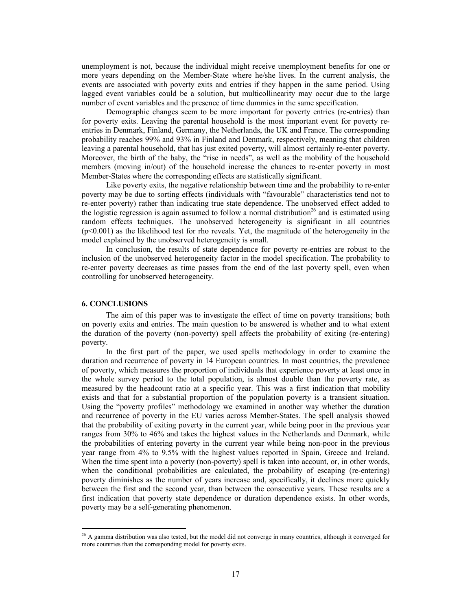unemployment is not, because the individual might receive unemployment benefits for one or more years depending on the Member-State where he/she lives. In the current analysis, the events are associated with poverty exits and entries if they happen in the same period. Using lagged event variables could be a solution, but multicollinearity may occur due to the large number of event variables and the presence of time dummies in the same specification.

Demographic changes seem to be more important for poverty entries (re-entries) than for poverty exits. Leaving the parental household is the most important event for poverty reentries in Denmark, Finland, Germany, the Netherlands, the UK and France. The corresponding probability reaches 99% and 93% in Finland and Denmark, respectively, meaning that children leaving a parental household, that has just exited poverty, will almost certainly re-enter poverty. Moreover, the birth of the baby, the "rise in needs", as well as the mobility of the household members (moving in/out) of the household increase the chances to re-enter poverty in most Member-States where the corresponding effects are statistically significant.

Like poverty exits, the negative relationship between time and the probability to re-enter poverty may be due to sorting effects (individuals with "favourable" characteristics tend not to re-enter poverty) rather than indicating true state dependence. The unobserved effect added to the logistic regression is again assumed to follow a normal distribution<sup>26</sup> and is estimated using random effects techniques. The unobserved heterogeneity is significant in all countries  $(p<0.001)$  as the likelihood test for rho reveals. Yet, the magnitude of the heterogeneity in the model explained by the unobserved heterogeneity is small.

In conclusion, the results of state dependence for poverty re-entries are robust to the inclusion of the unobserved heterogeneity factor in the model specification. The probability to re-enter poverty decreases as time passes from the end of the last poverty spell, even when controlling for unobserved heterogeneity.

### **6. CONCLUSIONS**

 $\ddot{\phantom{a}}$ 

The aim of this paper was to investigate the effect of time on poverty transitions; both on poverty exits and entries. The main question to be answered is whether and to what extent the duration of the poverty (non-poverty) spell affects the probability of exiting (re-entering) poverty.

In the first part of the paper, we used spells methodology in order to examine the duration and recurrence of poverty in 14 European countries. In most countries, the prevalence of poverty, which measures the proportion of individuals that experience poverty at least once in the whole survey period to the total population, is almost double than the poverty rate, as measured by the headcount ratio at a specific year. This was a first indication that mobility exists and that for a substantial proportion of the population poverty is a transient situation. Using the "poverty profiles" methodology we examined in another way whether the duration and recurrence of poverty in the EU varies across Member-States. The spell analysis showed that the probability of exiting poverty in the current year, while being poor in the previous year ranges from 30% to 46% and takes the highest values in the Netherlands and Denmark, while the probabilities of entering poverty in the current year while being non-poor in the previous year range from 4% to 9.5% with the highest values reported in Spain, Greece and Ireland. When the time spent into a poverty (non-poverty) spell is taken into account, or, in other words, when the conditional probabilities are calculated, the probability of escaping (re-entering) poverty diminishes as the number of years increase and, specifically, it declines more quickly between the first and the second year, than between the consecutive years. These results are a first indication that poverty state dependence or duration dependence exists. In other words, poverty may be a self-generating phenomenon.

 $26$  A gamma distribution was also tested, but the model did not converge in many countries, although it converged for more countries than the corresponding model for poverty exits.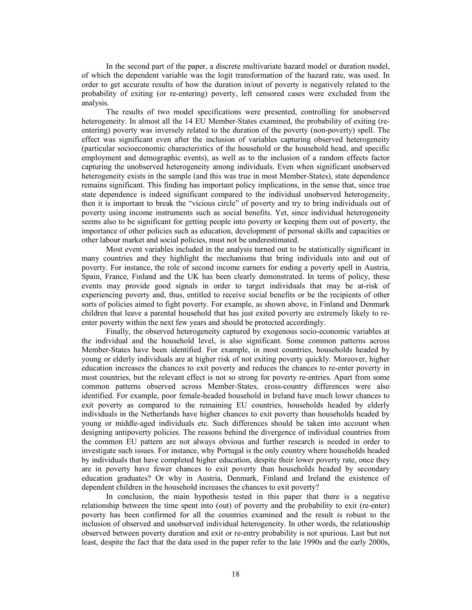In the second part of the paper, a discrete multivariate hazard model or duration model, of which the dependent variable was the logit transformation of the hazard rate, was used. In order to get accurate results of how the duration in/out of poverty is negatively related to the probability of exiting (or re-entering) poverty, left censored cases were excluded from the analysis.

The results of two model specifications were presented, controlling for unobserved heterogeneity. In almost all the 14 EU Member-States examined, the probability of exiting (reentering) poverty was inversely related to the duration of the poverty (non-poverty) spell. The effect was significant even after the inclusion of variables capturing observed heterogeneity (particular socioeconomic characteristics of the household or the household head, and specific employment and demographic events), as well as to the inclusion of a random effects factor capturing the unobserved heterogeneity among individuals. Even when significant unobserved heterogeneity exists in the sample (and this was true in most Member-States), state dependence remains significant. This finding has important policy implications, in the sense that, since true state dependence is indeed significant compared to the individual unobserved heterogeneity, then it is important to break the "vicious circle" of poverty and try to bring individuals out of poverty using income instruments such as social benefits. Yet, since individual heterogeneity seems also to be significant for getting people into poverty or keeping them out of poverty, the importance of other policies such as education, development of personal skills and capacities or other labour market and social policies, must not be underestimated.

Most event variables included in the analysis turned out to be statistically significant in many countries and they highlight the mechanisms that bring individuals into and out of poverty. For instance, the role of second income earners for ending a poverty spell in Austria, Spain, France, Finland and the UK has been clearly demonstrated. In terms of policy, these events may provide good signals in order to target individuals that may be at-risk of experiencing poverty and, thus, entitled to receive social benefits or be the recipients of other sorts of policies aimed to fight poverty. For example, as shown above, in Finland and Denmark children that leave a parental household that has just exited poverty are extremely likely to reenter poverty within the next few years and should be protected accordingly.

Finally, the observed heterogeneity captured by exogenous socio-economic variables at the individual and the household level, is also significant. Some common patterns across Member-States have been identified. For example, in most countries, households headed by young or elderly individuals are at higher risk of not exiting poverty quickly. Moreover, higher education increases the chances to exit poverty and reduces the chances to re-enter poverty in most countries, but the relevant effect is not so strong for poverty re-entries. Apart from some common patterns observed across Member-States, cross-country differences were also identified. For example, poor female-headed household in Ireland have much lower chances to exit poverty as compared to the remaining EU countries, households headed by elderly individuals in the Netherlands have higher chances to exit poverty than households headed by young or middle-aged individuals etc. Such differences should be taken into account when designing antipoverty policies. The reasons behind the divergence of individual countries from the common EU pattern are not always obvious and further research is needed in order to investigate such issues. For instance, why Portugal is the only country where households headed by individuals that have completed higher education, despite their lower poverty rate, once they are in poverty have fewer chances to exit poverty than households headed by secondary education graduates? Or why in Austria, Denmark, Finland and Ireland the existence of dependent children in the household increases the chances to exit poverty?

In conclusion, the main hypothesis tested in this paper that there is a negative relationship between the time spent into (out) of poverty and the probability to exit (re-enter) poverty has been confirmed for all the countries examined and the result is robust to the inclusion of observed and unobserved individual heterogeneity. In other words, the relationship observed between poverty duration and exit or re-entry probability is not spurious. Last but not least, despite the fact that the data used in the paper refer to the late 1990s and the early 2000s,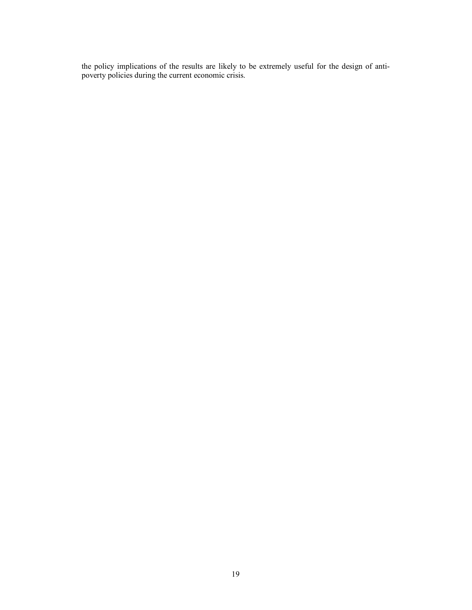the policy implications of the results are likely to be extremely useful for the design of antipoverty policies during the current economic crisis.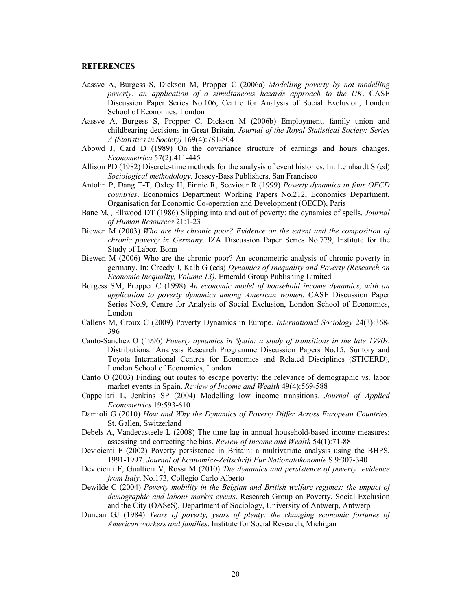### **REFERENCES**

- Aassve A, Burgess S, Dickson M, Propper C (2006a) *Modelling poverty by not modelling poverty: an application of a simultaneous hazards approach to the UK*. CASE Discussion Paper Series No.106, Centre for Analysis of Social Exclusion, London School of Economics, London
- Aassve A, Burgess S, Propper C, Dickson M (2006b) Employment, family union and childbearing decisions in Great Britain. *Journal of the Royal Statistical Society: Series A (Statistics in Society)* 169(4):781-804
- Abowd J, Card D (1989) On the covariance structure of earnings and hours changes. *Econometrica* 57(2):411-445
- Allison PD (1982) Discrete-time methods for the analysis of event histories. In: Leinhardt S (ed) *Sociological methodology*. Jossey-Bass Publishers, San Francisco
- Antolin P, Dang T-T, Oxley H, Finnie R, Sceviour R (1999) *Poverty dynamics in four OECD countries*. Economics Department Working Papers No.212, Economics Department, Organisation for Economic Co-operation and Development (OECD), Paris
- Bane MJ, Ellwood DT (1986) Slipping into and out of poverty: the dynamics of spells. *Journal of Human Resources* 21:1-23
- Biewen M (2003) *Who are the chronic poor? Evidence on the extent and the composition of chronic poverty in Germany*. IZA Discussion Paper Series No.779, Institute for the Study of Labor, Bonn
- Biewen M (2006) Who are the chronic poor? An econometric analysis of chronic poverty in germany. In: Creedy J, Kalb G (eds) *Dynamics of Inequality and Poverty (Research on Economic Inequality, Volume 13)*. Emerald Group Publishing Limited
- Burgess SM, Propper C (1998) *An economic model of household income dynamics, with an application to poverty dynamics among American women*. CASE Discussion Paper Series No.9, Centre for Analysis of Social Exclusion, London School of Economics, London
- Callens M, Croux C (2009) Poverty Dynamics in Europe. *International Sociology* 24(3):368- 396
- Canto-Sanchez O (1996) *Poverty dynamics in Spain: a study of transitions in the late 1990s*. Distributional Analysis Research Programme Discussion Papers No.15, Suntory and Toyota International Centres for Economics and Related Disciplines (STICERD), London School of Economics, London
- Canto O (2003) Finding out routes to escape poverty: the relevance of demographic vs. labor market events in Spain. *Review of Income and Wealth* 49(4):569-588
- Cappellari L, Jenkins SP (2004) Modelling low income transitions. *Journal of Applied Econometrics* 19:593-610
- Damioli G (2010) *How and Why the Dynamics of Poverty Differ Across European Countries*. St. Gallen, Switzerland
- Debels A, Vandecasteele L (2008) The time lag in annual household-based income measures: assessing and correcting the bias. *Review of Income and Wealth* 54(1):71-88
- Devicienti F (2002) Poverty persistence in Britain: a multivariate analysis using the BHPS, 1991-1997. *Journal of Economics-Zeitschrift Fur Nationalokonomie* S 9:307-340
- Devicienti F, Gualtieri V, Rossi M (2010) *The dynamics and persistence of poverty: evidence from Italy*. No.173, Collegio Carlo Alberto
- Dewilde C (2004) *Poverty mobility in the Belgian and British welfare regimes: the impact of demographic and labour market events*. Research Group on Poverty, Social Exclusion and the City (OASeS), Department of Sociology, University of Antwerp, Antwerp
- Duncan GJ (1984) *Years of poverty, years of plenty: the changing economic fortunes of American workers and families*. Institute for Social Research, Michigan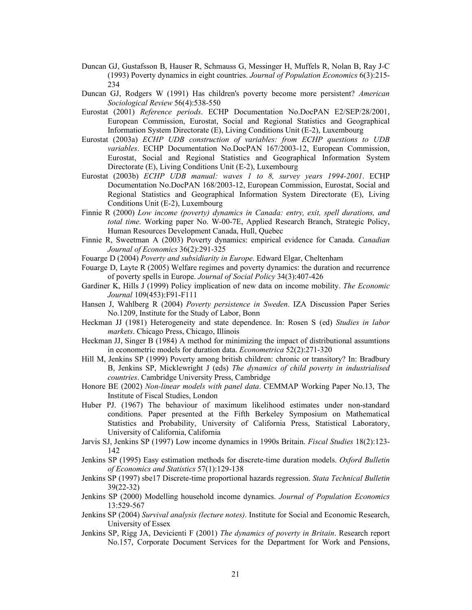- Duncan GJ, Gustafsson B, Hauser R, Schmauss G, Messinger H, Muffels R, Nolan B, Ray J-C (1993) Poverty dynamics in eight countries. *Journal of Population Economics* 6(3):215- 234
- Duncan GJ, Rodgers W (1991) Has children's poverty become more persistent? *American Sociological Review* 56(4):538-550
- Eurostat (2001) *Reference periods*. ECHP Documentation No.DocPAN E2/SEP/28/2001, European Commission, Eurostat, Social and Regional Statistics and Geographical Information System Directorate (E), Living Conditions Unit (E-2), Luxembourg
- Eurostat (2003a) *ECHP UDB construction of variables: from ECHP questions to UDB variables*. ECHP Documentation No.DocPAN 167/2003-12, European Commission, Eurostat, Social and Regional Statistics and Geographical Information System Directorate (E), Living Conditions Unit (E-2), Luxembourg
- Eurostat (2003b) *ECHP UDB manual: waves 1 to 8, survey years 1994-2001*. ECHP Documentation No.DocPAN 168/2003-12, European Commission, Eurostat, Social and Regional Statistics and Geographical Information System Directorate (E), Living Conditions Unit (E-2), Luxembourg
- Finnie R (2000) *Low income (poverty) dynamics in Canada: entry, exit, spell durations, and total time*. Working paper No. W-00-7E, Applied Research Branch, Strategic Policy, Human Resources Development Canada, Hull, Quebec
- Finnie R, Sweetman A (2003) Poverty dynamics: empirical evidence for Canada. *Canadian Journal of Economics* 36(2):291-325

Fouarge D (2004) *Poverty and subsidiarity in Europe*. Edward Elgar, Cheltenham

- Fouarge D, Layte R (2005) Welfare regimes and poverty dynamics: the duration and recurrence of poverty spells in Europe. *Journal of Social Policy* 34(3):407-426
- Gardiner K, Hills J (1999) Policy implication of new data on income mobility. *The Economic Journal* 109(453):F91-F111
- Hansen J, Wahlberg R (2004) *Poverty persistence in Sweden*. IZA Discussion Paper Series No.1209, Institute for the Study of Labor, Bonn
- Heckman JJ (1981) Heterogeneity and state dependence. In: Rosen S (ed) *Studies in labor markets*. Chicago Press, Chicago, Illinois
- Heckman JJ, Singer B (1984) A method for minimizing the impact of distributional assumtions in econometric models for duration data. *Econometrica* 52(2):271-320
- Hill M, Jenkins SP (1999) Poverty among british children: chronic or transitory? In: Bradbury B, Jenkins SP, Micklewright J (eds) *The dynamics of child poverty in industrialised countries*. Cambridge University Press, Cambridge
- Honore BE (2002) *Non-linear models with panel data*. CEMMAP Working Paper No.13, The Institute of Fiscal Studies, London
- Huber PJ. (1967) The behaviour of maximum likelihood estimates under non-standard conditions. Paper presented at the Fifth Berkeley Symposium on Mathematical Statistics and Probability, University of California Press, Statistical Laboratory, University of California, California
- Jarvis SJ, Jenkins SP (1997) Low income dynamics in 1990s Britain. *Fiscal Studies* 18(2):123- 142
- Jenkins SP (1995) Easy estimation methods for discrete-time duration models. *Oxford Bulletin of Economics and Statistics* 57(1):129-138
- Jenkins SP (1997) sbe17 Discrete-time proportional hazards regression. *Stata Technical Bulletin* 39(22-32)
- Jenkins SP (2000) Modelling household income dynamics. *Journal of Population Economics* 13:529-567
- Jenkins SP (2004) *Survival analysis (lecture notes)*. Institute for Social and Economic Research, University of Essex
- Jenkins SP, Rigg JA, Devicienti F (2001) *The dynamics of poverty in Britain*. Research report No.157, Corporate Document Services for the Department for Work and Pensions,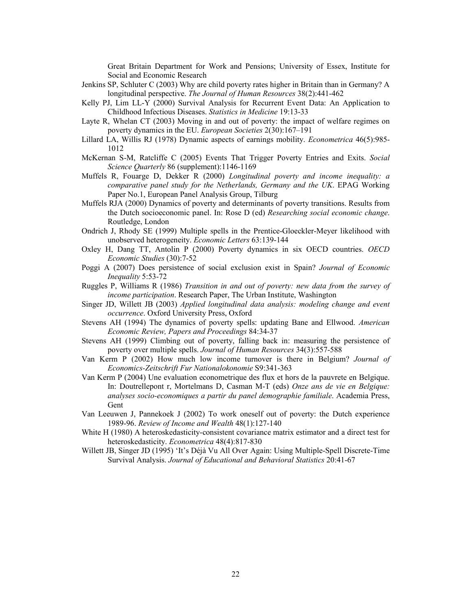Great Britain Department for Work and Pensions; University of Essex, Institute for Social and Economic Research

- Jenkins SP, Schluter C (2003) Why are child poverty rates higher in Britain than in Germany? A longitudinal perspective. *The Journal of Human Resources* 38(2):441-462
- Kelly PJ, Lim LL-Y (2000) Survival Analysis for Recurrent Event Data: An Application to Childhood Infectious Diseases. *Statistics in Medicine* 19:13-33
- Layte R, Whelan CT (2003) Moving in and out of poverty: the impact of welfare regimes on poverty dynamics in the EU. *European Societies* 2(30):167–191
- Lillard LA, Willis RJ (1978) Dynamic aspects of earnings mobility. *Econometrica* 46(5):985- 1012
- McKernan S-M, Ratcliffe C (2005) Events That Trigger Poverty Entries and Exits. *Social Science Quarterly* 86 (supplement):1146-1169
- Muffels R, Fouarge D, Dekker R (2000) *Longitudinal poverty and income inequality: a comparative panel study for the Netherlands, Germany and the UK*. EPAG Working Paper No.1, European Panel Analysis Group, Tilburg
- Muffels RJA (2000) Dynamics of poverty and determinants of poverty transitions. Results from the Dutch socioeconomic panel. In: Rose D (ed) *Researching social economic change*. Routledge, London
- Ondrich J, Rhody SE (1999) Multiple spells in the Prentice-Gloeckler-Meyer likelihood with unobserved heterogeneity. *Economic Letters* 63:139-144
- Oxley H, Dang TT, Antolin P (2000) Poverty dynamics in six OECD countries. *OECD Economic Studies* (30):7-52
- Poggi A (2007) Does persistence of social exclusion exist in Spain? *Journal of Economic Inequality* 5:53-72
- Ruggles P, Williams R (1986) *Transition in and out of poverty: new data from the survey of income participation*. Research Paper, The Urban Institute, Washington
- Singer JD, Willett JB (2003) *Applied longitudinal data analysis: modeling change and event occurrence*. Oxford University Press, Oxford
- Stevens AH (1994) The dynamics of poverty spells: updating Bane and Ellwood. *American Economic Review, Papers and Proceedings* 84:34-37
- Stevens AH (1999) Climbing out of poverty, falling back in: measuring the persistence of poverty over multiple spells. *Journal of Human Resources* 34(3):557-588
- Van Kerm P (2002) How much low income turnover is there in Belgium? *Journal of Economics-Zeitschrift Fur Nationalokonomie* S9:341-363
- Van Kerm P (2004) Une evaluation econometrique des flux et hors de la pauvrete en Belgique. In: Doutrellepont r, Mortelmans D, Casman M-T (eds) *Onze ans de vie en Belgique: analyses socio-economiques a partir du panel demographie familiale*. Academia Press, Gent
- Van Leeuwen J, Pannekoek J (2002) To work oneself out of poverty: the Dutch experience 1989-96. *Review of Income and Wealth* 48(1):127-140
- White H (1980) A heteroskedasticity-consistent covariance matrix estimator and a direct test for heteroskedasticity. *Econometrica* 48(4):817-830
- Willett JB, Singer JD (1995) 'It's Déjà Vu All Over Again: Using Multiple-Spell Discrete-Time Survival Analysis. *Journal of Educational and Behavioral Statistics* 20:41-67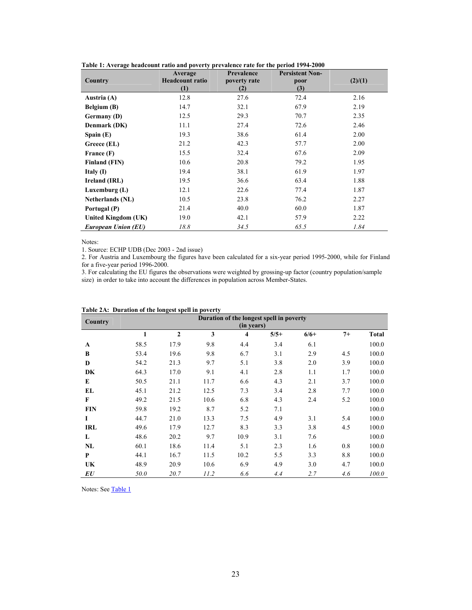|                         | Average                | <b>Prevalence</b> | <b>Persistent Non-</b> |         |
|-------------------------|------------------------|-------------------|------------------------|---------|
| Country                 | <b>Headcount ratio</b> | poverty rate      | poor                   | (2)/(1) |
|                         | (1)                    | (2)               | (3)                    |         |
| Austria (A)             | 12.8                   | 27.6              | 72.4                   | 2.16    |
| Belgium (B)             | 14.7                   | 32.1              | 67.9                   | 2.19    |
| Germany (D)             | 12.5                   | 29.3              | 70.7                   | 2.35    |
| Denmark (DK)            | 11.1                   | 27.4              | 72.6                   | 2.46    |
| Spain $(E)$             | 19.3                   | 38.6              | 61.4                   | 2.00    |
| Greece (EL)             | 21.2                   | 42.3              | 57.7                   | 2.00    |
| France (F)              | 15.5                   | 32.4              | 67.6                   | 2.09    |
| <b>Finland (FIN)</b>    | 10.6                   | 20.8              | 79.2                   | 1.95    |
| Italy $(I)$             | 19.4                   | 38.1              | 61.9                   | 1.97    |
| Ireland (IRL)           | 19.5                   | 36.6              | 63.4                   | 1.88    |
| Luxemburg $(L)$         | 12.1                   | 22.6              | 77.4                   | 1.87    |
| <b>Netherlands</b> (NL) | 10.5                   | 23.8              | 76.2                   | 2.27    |
| Portugal (P)            | 21.4                   | 40.0              | 60.0                   | 1.87    |
| United Kingdom (UK)     | 19.0                   | 42.1              | 57.9                   | 2.22    |
| European Union (EU)     | 18.8                   | 34.5              | 65.5                   | 1.84    |

**Table 1: Average headcount ratio and poverty prevalence rate for the period 1994-2000**

Notes:

1. Source: ECHP UDB (Dec 2003 - 2nd issue)

2. For Austria and Luxembourg the figures have been calculated for a six-year period 1995-2000, while for Finland for a five-year period 1996-2000.

3. For calculating the EU figures the observations were weighted by grossing-up factor (country population/sample size) in order to take into account the differences in population across Member-States.

| Country    |              |              |      | (in years)              | Duration of the longest spell in poverty |        |      |              |
|------------|--------------|--------------|------|-------------------------|------------------------------------------|--------|------|--------------|
|            | $\mathbf{1}$ | $\mathbf{2}$ | 3    | $\overline{\mathbf{4}}$ | $5/5+$                                   | $6/6+$ | $7+$ | <b>Total</b> |
| A          | 58.5         | 17.9         | 9.8  | 4.4                     | 3.4                                      | 6.1    |      | 100.0        |
| B          | 53.4         | 19.6         | 9.8  | 6.7                     | 3.1                                      | 2.9    | 4.5  | 100.0        |
| D          | 54.2         | 21.3         | 9.7  | 5.1                     | 3.8                                      | 2.0    | 3.9  | 100.0        |
| DK         | 64.3         | 17.0         | 9.1  | 4.1                     | 2.8                                      | 1.1    | 1.7  | 100.0        |
| E          | 50.5         | 21.1         | 11.7 | 6.6                     | 4.3                                      | 2.1    | 3.7  | 100.0        |
| EL         | 45.1         | 21.2         | 12.5 | 7.3                     | 3.4                                      | 2.8    | 7.7  | 100.0        |
| F          | 49.2         | 21.5         | 10.6 | 6.8                     | 4.3                                      | 2.4    | 5.2  | 100.0        |
| <b>FIN</b> | 59.8         | 19.2         | 8.7  | 5.2                     | 7.1                                      |        |      | 100.0        |
| L          | 44.7         | 21.0         | 13.3 | 7.5                     | 4.9                                      | 3.1    | 5.4  | 100.0        |
| <b>IRL</b> | 49.6         | 17.9         | 12.7 | 8.3                     | 3.3                                      | 3.8    | 4.5  | 100.0        |
| L          | 48.6         | 20.2         | 9.7  | 10.9                    | 3.1                                      | 7.6    |      | 100.0        |
| NL         | 60.1         | 18.6         | 11.4 | 5.1                     | 2.3                                      | 1.6    | 0.8  | 100.0        |
| P          | 44.1         | 16.7         | 11.5 | 10.2                    | 5.5                                      | 3.3    | 8.8  | 100.0        |
| UK         | 48.9         | 20.9         | 10.6 | 6.9                     | 4.9                                      | 3.0    | 4.7  | 100.0        |
| EU         | 50.0         | 20.7         | 11.2 | 6.6                     | 4.4                                      | 2.7    | 4.6  | 100.0        |

**Table 2A: Duration of the longest spell in poverty**

Notes: See Table 1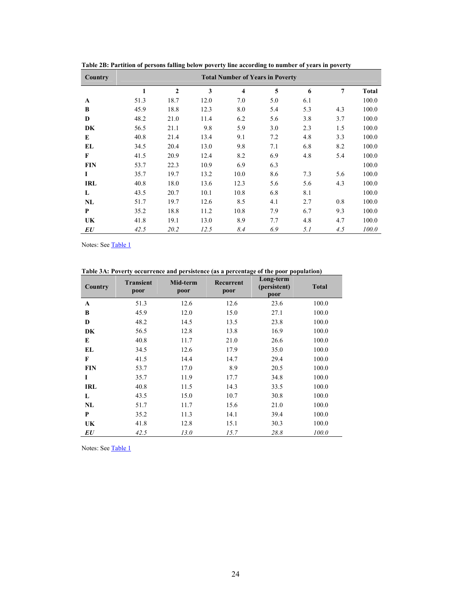| Country    |      |              |      |                         | <b>Total Number of Years in Poverty</b> |     |     |              |
|------------|------|--------------|------|-------------------------|-----------------------------------------|-----|-----|--------------|
|            | 1    | $\mathbf{2}$ | 3    | $\overline{\mathbf{4}}$ | 5                                       | 6   | 7   | <b>Total</b> |
| A          | 51.3 | 18.7         | 12.0 | 7.0                     | 5.0                                     | 6.1 |     | 100.0        |
| B          | 45.9 | 18.8         | 12.3 | 8.0                     | 5.4                                     | 5.3 | 4.3 | 100.0        |
| $\bf{D}$   | 48.2 | 21.0         | 11.4 | 6.2                     | 5.6                                     | 3.8 | 3.7 | 100.0        |
| DK         | 56.5 | 21.1         | 9.8  | 5.9                     | 3.0                                     | 2.3 | 1.5 | 100.0        |
| E          | 40.8 | 21.4         | 13.4 | 9.1                     | 7.2                                     | 4.8 | 3.3 | 100.0        |
| EL         | 34.5 | 20.4         | 13.0 | 9.8                     | 7.1                                     | 6.8 | 8.2 | 100.0        |
| F          | 41.5 | 20.9         | 12.4 | 8.2                     | 6.9                                     | 4.8 | 5.4 | 100.0        |
| <b>FIN</b> | 53.7 | 22.3         | 10.9 | 6.9                     | 6.3                                     |     |     | 100.0        |
| 1          | 35.7 | 19.7         | 13.2 | 10.0                    | 8.6                                     | 7.3 | 5.6 | 100.0        |
| <b>IRL</b> | 40.8 | 18.0         | 13.6 | 12.3                    | 5.6                                     | 5.6 | 4.3 | 100.0        |
| L          | 43.5 | 20.7         | 10.1 | 10.8                    | 6.8                                     | 8.1 |     | 100.0        |
| NL         | 51.7 | 19.7         | 12.6 | 8.5                     | 4.1                                     | 2.7 | 0.8 | 100.0        |
| P          | 35.2 | 18.8         | 11.2 | 10.8                    | 7.9                                     | 6.7 | 9.3 | 100.0        |
| UK         | 41.8 | 19.1         | 13.0 | 8.9                     | 7.7                                     | 4.8 | 4.7 | 100.0        |
| EU         | 42.5 | 20.2         | 12.5 | 8.4                     | 6.9                                     | 5.1 | 4.5 | 100.0        |

**Table 2B: Partition of persons falling below poverty line according to number of years in poverty** 

Notes: See Table 1

**Table 3A: Poverty occurrence and persistence (as a percentage of the poor population)** 

| Country    | <b>Transient</b><br>poor | Mid-term<br>poor | Recurrent<br>poor | Long-term<br>(persistent)<br>poor | <b>Total</b> |
|------------|--------------------------|------------------|-------------------|-----------------------------------|--------------|
| A          | 51.3                     | 12.6             | 12.6              | 23.6                              | 100.0        |
| B          | 45.9                     | 12.0             | 15.0              | 27.1                              | 100.0        |
| D          | 48.2                     | 14.5             | 13.5              | 23.8                              | 100.0        |
| DK         | 56.5                     | 12.8             | 13.8              | 16.9                              | 100.0        |
| E          | 40.8                     | 11.7             | 21.0              | 26.6                              | 100.0        |
| EL         | 34.5                     | 12.6             | 17.9              | 35.0                              | 100.0        |
| F          | 41.5                     | 14.4             | 14.7              | 29.4                              | 100.0        |
| <b>FIN</b> | 53.7                     | 17.0             | 8.9               | 20.5                              | 100.0        |
| I          | 35.7                     | 11.9             | 17.7              | 34.8                              | 100.0        |
| <b>IRL</b> | 40.8                     | 11.5             | 14.3              | 33.5                              | 100.0        |
| L          | 43.5                     | 15.0             | 10.7              | 30.8                              | 100.0        |
| NL         | 51.7                     | 11.7             | 15.6              | 21.0                              | 100.0        |
| P          | 35.2                     | 11.3             | 14.1              | 39.4                              | 100.0        |
| UK         | 41.8                     | 12.8             | 15.1              | 30.3                              | 100.0        |
| EU         | 42.5                     | 13.0             | 15.7              | 28.8                              | 100.0        |

Notes: See Table 1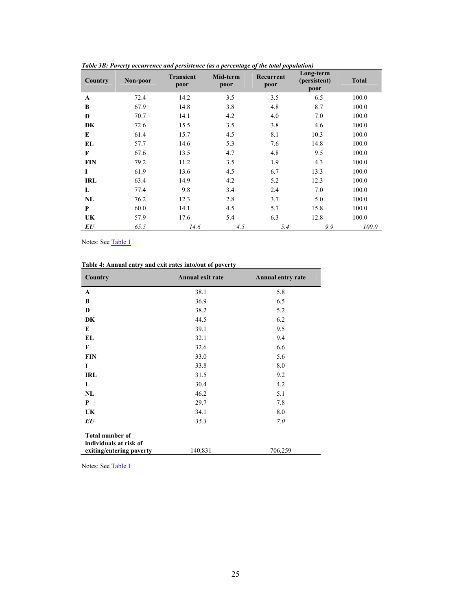| Country    | Non-poor | <b>Transient</b><br>poor | Mid-term<br>poor | Recurrent<br>poor | Long-term<br>(persistent)<br>poor | <b>Total</b> |
|------------|----------|--------------------------|------------------|-------------------|-----------------------------------|--------------|
| A          | 72.4     | 14.2                     | 3.5              | 3.5               | 6.5                               | 100.0        |
| B          | 67.9     | 14.8                     | 3.8              | 4.8               | 8.7                               | 100.0        |
| D          | 70.7     | 14.1                     | 4.2              | 4.0               | 7.0                               | 100.0        |
| DK         | 72.6     | 15.5                     | 3.5              | 3.8               | 4.6                               | 100.0        |
| E          | 61.4     | 15.7                     | 4.5              | 8.1               | 10.3                              | 100.0        |
| EL         | 57.7     | 14.6                     | 5.3              | 7.6               | 14.8                              | 100.0        |
| F          | 67.6     | 13.5                     | 4.7              | 4.8               | 9.5                               | 100.0        |
| <b>FIN</b> | 79.2     | 11.2                     | 3.5              | 1.9               | 4.3                               | 100.0        |
| L          | 61.9     | 13.6                     | 4.5              | 6.7               | 13.3                              | 100.0        |
| <b>IRL</b> | 63.4     | 14.9                     | 4.2              | 5.2               | 12.3                              | 100.0        |
| L          | 77.4     | 9.8                      | 3.4              | 2.4               | 7.0                               | 100.0        |
| NL         | 76.2     | 12.3                     | 2.8              | 3.7               | 5.0                               | 100.0        |
| P          | 60.0     | 14.1                     | 4.5              | 5.7               | 15.8                              | 100.0        |
| UK         | 57.9     | 17.6                     | 5.4              | 6.3               | 12.8                              | 100.0        |
| EU         | 65.5     | 14.6                     | 4.5              | 5.4               | 9.9                               | 100.0        |

*Table 3B: Poverty occurrence and persistence (as a percentage of the total population)* 

Notes: See Table 1

| Country                                          | Annual exit rate | Annual entry rate |
|--------------------------------------------------|------------------|-------------------|
| A                                                | 38.1             | 5.8               |
| B                                                | 36.9             | 6.5               |
| D                                                | 38.2             | 5.2               |
| DK                                               | 44.5             | 6.2               |
| E                                                | 39.1             | 9.5               |
| EL                                               | 32.1             | 9.4               |
| F                                                | 32.6             | 6.6               |
| <b>FIN</b>                                       | 33.0             | 5.6               |
| I                                                | 33.8             | 8.0               |
| <b>IRL</b>                                       | 31.5             | 9.2               |
| L                                                | 30.4             | 4.2               |
| NL                                               | 46.2             | 5.1               |
| P                                                | 29.7             | 7.8               |
| UK                                               | 34.1             | 8.0               |
| EU                                               | 35.3             | 7.0               |
| <b>Total number of</b><br>individuals at risk of |                  |                   |
| exiting/entering poverty                         | 140,831          | 706,259           |

Notes: See Table 1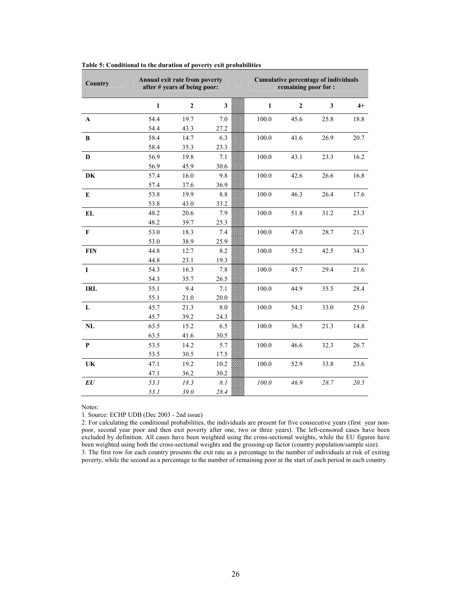| <b>Country</b>                 |              | Annual exit rate from poverty<br>after # years of being poor: |              |              | <b>Cumulative percentage of individuals</b><br>remaining poor for : |      |      |
|--------------------------------|--------------|---------------------------------------------------------------|--------------|--------------|---------------------------------------------------------------------|------|------|
|                                | $\mathbf{1}$ | $\overline{2}$                                                | $\mathbf{3}$ | $\mathbf{1}$ | $\overline{2}$                                                      | 3    | $4+$ |
| $\mathbf A$                    | 54.4         | 19.7                                                          | 7.0          | 100.0        | 45.6                                                                | 25.8 | 18.8 |
|                                | 54.4         | 43.3                                                          | 27.2         |              |                                                                     |      |      |
| B                              | 58.4         | 14.7                                                          | 6.3          | 100.0        | 41.6                                                                | 26.9 | 20.7 |
|                                | 58.4         | 35.3                                                          | 23.3         |              |                                                                     |      |      |
| $\mathbf D$                    | 56.9         | 19.8                                                          | 7.1          | 100.0        | 43.1                                                                | 23.3 | 16.2 |
|                                | 56.9         | 45.9                                                          | 30.6         |              |                                                                     |      |      |
| DK                             | 57.4         | 16.0                                                          | 9.8          | 100.0        | 42.6                                                                | 26.6 | 16.8 |
|                                | 57.4         | 37.6                                                          | 36.9         |              |                                                                     |      |      |
| ${\bf E}$                      | 53.8         | 19.9                                                          | 8.8          | 100.0        | 46.3                                                                | 26.4 | 17.6 |
|                                | 53.8         | 43.0                                                          | 33.2         |              |                                                                     |      |      |
| EL                             | 48.2         | 20.6                                                          | 7.9          | 100.0        | 51.8                                                                | 31.2 | 23.3 |
|                                | 48.2         | 39.7                                                          | 25.3         |              |                                                                     |      |      |
| $\mathbf F$                    | 53.0         | 18.3                                                          | 7.4          | 100.0        | 47.0                                                                | 28.7 | 21.3 |
|                                | 53.0         | 38.9                                                          | 25.9         |              |                                                                     |      |      |
| <b>FIN</b>                     | 44.8         | 12.7                                                          | 8.2          | 100.0        | 55.2                                                                | 42.5 | 34.3 |
|                                | 44.8         | 23.1                                                          | 19.3         |              |                                                                     |      |      |
| $\mathbf I$                    | 54.3         | 16.3                                                          | 7.8          | 100.0        | 45.7                                                                | 29.4 | 21.6 |
|                                | 54.3         | 35.7                                                          | 26.5         |              |                                                                     |      |      |
| <b>IRL</b>                     | 55.1         | 9.4                                                           | 7.1          | 100.0        | 44.9                                                                | 35.5 | 28.4 |
|                                | 55.1         | 21.0                                                          | 20.0         |              |                                                                     |      |      |
| L                              | 45.7         | 21.3                                                          | 8.0          | 100.0        | 54.3                                                                | 33.0 | 25.0 |
|                                | 45.7         | 39.2                                                          | 24.3         |              |                                                                     |      |      |
| $\mathbf{NL}$                  | 63.5         | 15.2                                                          | 6.5          | 100.0        | 36.5                                                                | 21.3 | 14.8 |
|                                | 63.5         | 41.6                                                          | 30.5         |              |                                                                     |      |      |
| $\mathbf{P}$                   | 53.5         | 14.2                                                          | 5.7          | 100.0        | 46.6                                                                | 32.3 | 26.7 |
|                                | 53.5         | 30.5                                                          | 17.5         |              |                                                                     |      |      |
| UK                             | 47.1         | 19.2                                                          | 10.2         | 100.0        | 52.9                                                                | 33.8 | 23.6 |
|                                | 47.1         | 36.2                                                          | 30.2         |              |                                                                     |      |      |
| $\boldsymbol{E}\boldsymbol{U}$ | 53.1         | 18.3                                                          | 8.1          | $100.0$      | 46.9                                                                | 28.7 | 20.5 |
|                                | 53.1         | 39.0                                                          | 28.4         |              |                                                                     |      |      |

### **Table 5: Conditional to the duration of poverty exit probabilities**

Notes:

1. Source: ECHP UDB (Dec 2003 - 2nd issue)

2. For calculating the conditional probabilities, the individuals are present for five consecutive years (first year nonpoor, second year poor and then exit poverty after one, two or three years). The left-censored cases have been excluded by definition. All cases have been weighted using the cross-sectional weights, while the EU figures have been weighted using both the cross-sectional weights and the grossing-up factor (country population/sample size). 3. The first row for each country presents the exit rate as a percentage to the number of individuals at risk of exiting poverty, while the second as a percentage to the number of remaining poor at the start of each period in each country.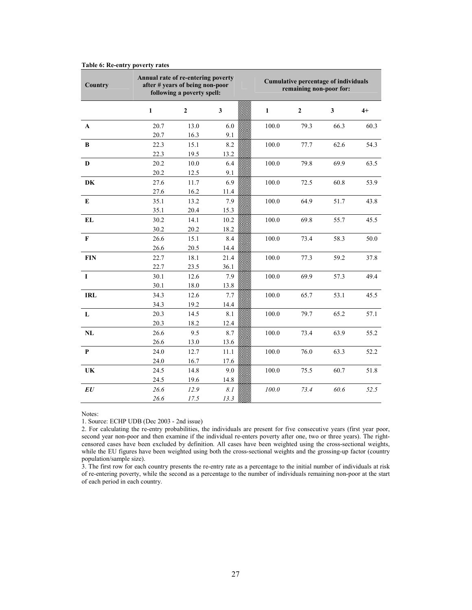| Country        | Annual rate of re-entering poverty | after # years of being non-poor<br>following a poverty spell: |      |              | <b>Cumulative percentage of individuals</b><br>remaining non-poor for: |      |      |
|----------------|------------------------------------|---------------------------------------------------------------|------|--------------|------------------------------------------------------------------------|------|------|
|                | $\mathbf{1}$                       | $\mathbf{2}$                                                  | 3    | $\mathbf{1}$ | $\mathbf{2}$                                                           | 3    | $4+$ |
| $\mathbf{A}$   | 20.7                               | 13.0                                                          | 6.0  | 100.0        | 79.3                                                                   | 66.3 | 60.3 |
|                | 20.7                               | 16.3                                                          | 9.1  |              |                                                                        |      |      |
| $\bf{B}$       | 22.3                               | 15.1                                                          | 8.2  | 100.0        | 77.7                                                                   | 62.6 | 54.3 |
|                | 22.3                               | 19.5                                                          | 13.2 |              |                                                                        |      |      |
| D              | 20.2                               | 10.0                                                          | 6.4  | 100.0        | 79.8                                                                   | 69.9 | 63.5 |
|                | 20.2                               | 12.5                                                          | 9.1  |              |                                                                        |      |      |
| DK             | 27.6                               | 11.7                                                          | 6.9  | 100.0        | 72.5                                                                   | 60.8 | 53.9 |
|                | 27.6                               | 16.2                                                          | 11.4 |              |                                                                        |      |      |
| E              | 35.1                               | 13.2                                                          | 7.9  | 100.0        | 64.9                                                                   | 51.7 | 43.8 |
|                | 35.1                               | 20.4                                                          | 15.3 |              |                                                                        |      |      |
| EL             | 30.2                               | 14.1                                                          | 10.2 | 100.0        | 69.8                                                                   | 55.7 | 45.5 |
|                | 30.2                               | 20.2                                                          | 18.2 |              |                                                                        |      |      |
| $\mathbf F$    | 26.6                               | 15.1                                                          | 8.4  | 100.0        | 73.4                                                                   | 58.3 | 50.0 |
|                | 26.6                               | 20.5                                                          | 14.4 |              |                                                                        |      |      |
| <b>FIN</b>     | 22.7                               | 18.1                                                          | 21.4 | 100.0        | 77.3                                                                   | 59.2 | 37.8 |
|                | 22.7                               | 23.5                                                          | 36.1 |              |                                                                        |      |      |
| $\bf{I}$       | 30.1                               | 12.6                                                          | 7.9  | 100.0        | 69.9                                                                   | 57.3 | 49.4 |
|                | 30.1                               | 18.0                                                          | 13.8 |              |                                                                        |      |      |
| <b>IRL</b>     | 34.3                               | 12.6                                                          | 7.7  | 100.0        | 65.7                                                                   | 53.1 | 45.5 |
|                | 34.3                               | 19.2                                                          | 14.4 |              |                                                                        |      |      |
| L              | 20.3                               | 14.5                                                          | 8.1  | 100.0        | 79.7                                                                   | 65.2 | 57.1 |
|                | 20.3                               | 18.2                                                          | 12.4 |              |                                                                        |      |      |
| NL             | 26.6                               | 9.5                                                           | 8.7  | 100.0        | 73.4                                                                   | 63.9 | 55.2 |
|                | 26.6                               | 13.0                                                          | 13.6 |              |                                                                        |      |      |
| P              | 24.0                               | 12.7                                                          | 11.1 | 100.0        | 76.0                                                                   | 63.3 | 52.2 |
|                | 24.0                               | 16.7                                                          | 17.6 |              |                                                                        |      |      |
| UK             | 24.5                               | 14.8                                                          | 9.0  | 100.0        | 75.5                                                                   | 60.7 | 51.8 |
|                | 24.5                               | 19.6                                                          | 14.8 |              |                                                                        |      |      |
| $\bm{E}\bm{U}$ | 26.6                               | 12.9                                                          | 8.1  | 100.0        | 73.4                                                                   | 60.6 | 52.5 |
|                | 26.6                               | 17.5                                                          | 13.3 |              |                                                                        |      |      |

### **Table 6: Re-entry poverty rates**

Notes:

1. Source: ECHP UDB (Dec 2003 - 2nd issue)

2. For calculating the re-entry probabilities, the individuals are present for five consecutive years (first year poor, second year non-poor and then examine if the individual re-enters poverty after one, two or three years). The rightcensored cases have been excluded by definition. All cases have been weighted using the cross-sectional weights, while the EU figures have been weighted using both the cross-sectional weights and the grossing-up factor (country population/sample size).

3. The first row for each country presents the re-entry rate as a percentage to the initial number of individuals at risk of re-entering poverty, while the second as a percentage to the number of individuals remaining non-poor at the start of each period in each country.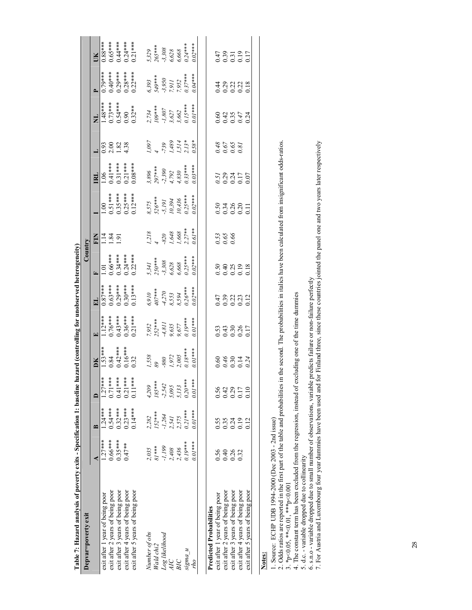| Table 7: Hazard analysis of poverty exits - Specification 1: baseline |           |           |                  | hazard (controlling for unobserved heterogeneity)  |                                                                                |                                                                   |                                                                    |                                                                 |                                                  |                                                                    |                                       |                                                                   |                                                  |                                                         |
|-----------------------------------------------------------------------|-----------|-----------|------------------|----------------------------------------------------|--------------------------------------------------------------------------------|-------------------------------------------------------------------|--------------------------------------------------------------------|-----------------------------------------------------------------|--------------------------------------------------|--------------------------------------------------------------------|---------------------------------------|-------------------------------------------------------------------|--------------------------------------------------|---------------------------------------------------------|
| Depvar=poverty exit                                                   |           |           |                  |                                                    |                                                                                |                                                                   | Country                                                            |                                                                 |                                                  |                                                                    |                                       |                                                                   |                                                  |                                                         |
|                                                                       |           | ≃         |                  | žб                                                 |                                                                                | 님                                                                 |                                                                    |                                                                 |                                                  | 리                                                                  |                                       | Ę                                                                 |                                                  | ¥                                                       |
| exit after 1 year of being poor                                       | $1.27***$ | $1.24***$ | $1.27***$        |                                                    |                                                                                |                                                                   |                                                                    | $E = 3.5$                                                       |                                                  |                                                                    |                                       |                                                                   | $0.79***$                                        |                                                         |
| exit after 2 years of being poor                                      | $0.66***$ | $0.54***$ | $0.71***$        | $1.53***$<br>0.84                                  |                                                                                |                                                                   |                                                                    |                                                                 |                                                  |                                                                    |                                       |                                                                   |                                                  |                                                         |
| exit after 3 years of being poor                                      | $0.35***$ | $0.32***$ | $0.41***$        |                                                    |                                                                                |                                                                   |                                                                    |                                                                 |                                                  |                                                                    | 5.823.33<br>0.21.38<br>0.21.38        |                                                                   |                                                  |                                                         |
| exit after 4 years of being poor                                      | $0.47***$ | $0.23***$ | $0.21***$        |                                                    |                                                                                |                                                                   |                                                                    |                                                                 |                                                  |                                                                    |                                       |                                                                   |                                                  |                                                         |
| exit after 5 years of being poor                                      |           | $0.14***$ | $0.11**$         | $0.42***$<br>$0.16***$<br>$0.32$                   | $\begin{array}{l} 1.12***\\ 0.76***\\ 0.43***\\ 0.36***\\ 0.36*** \end{array}$ | ****620<br>****620<br>****6200<br>****6200                        | 1.01<br>0.66****<br>0.34****<br>0.24****                           |                                                                 | 1.00<br>0.51 *** *<br>0.35 *** *<br>0.25 *** *   | 1.06<br>0.41 ***<br>0.31 ****<br>0.21 ****<br>0.08 ***             |                                       | $1.48***$<br>0.73 ***<br>0.54 ***<br>0.90<br>0.32 **              | $0.40***$<br>$0.29***$<br>$0.28***$<br>$0.28***$ | ****<br>0.65****<br>0.44****<br>0.24****<br>0.21***     |
| Number of obs                                                         | 2,035     | 2,282     | 4,209            |                                                    |                                                                                |                                                                   |                                                                    |                                                                 |                                                  |                                                                    |                                       |                                                                   |                                                  |                                                         |
| Wald chi2                                                             | $81***$   | $152***$  | $185***$         |                                                    |                                                                                |                                                                   |                                                                    |                                                                 |                                                  |                                                                    |                                       |                                                                   |                                                  |                                                         |
| Log likelihood                                                        | -1,199    | 1,264     | $-2,542$         | $1,558$<br>89<br>-980<br>1,972<br>2,005<br>2,18*** | 7,952<br>252***<br>-4,811<br>9,635<br>9,677<br>0.19***                         | $6.910$<br>$407***$<br>$4.270$<br>$6.553$<br>$8.594$<br>$0.26***$ | $5.341$<br>$250***$<br>$-3.308$<br>$6.628$<br>$0.668$<br>$0.25***$ | $1,218$<br>$-820$<br>$1,648$<br>$1,668$<br>$1,668$<br>$2,27***$ | 8,575<br>526***<br>10,394<br>10,436<br>10,25**** | $3,896$<br>$297***$<br>$-2,390$<br>$4,792$<br>$4,830$<br>$9,33***$ | 1,097<br>4<br>1,399<br>1,514<br>1,58% | $1734$<br>$109***$<br>$-1,807$<br>$3,627$<br>$3,662$<br>$0.15***$ | 6,393<br>549***<br>-3,950<br>7,952<br>7,952      | $5,329$<br>$265***$<br>$-3,308$<br>$6,628$<br>$0.24***$ |
| AIC                                                                   | 2,408     | 1.541     | 5,095            |                                                    |                                                                                |                                                                   |                                                                    |                                                                 |                                                  |                                                                    |                                       |                                                                   |                                                  |                                                         |
| BIC                                                                   | 2,436     | ,575      | 5,133            |                                                    |                                                                                |                                                                   |                                                                    |                                                                 |                                                  |                                                                    |                                       |                                                                   |                                                  |                                                         |
| $^{12}$ pu $^{21}$                                                    | $0.19***$ | $0.21***$ | $0.20***$        |                                                    |                                                                                |                                                                   |                                                                    |                                                                 |                                                  |                                                                    |                                       |                                                                   |                                                  |                                                         |
| ou                                                                    | $0.01***$ | $0.01***$ | $0.01***$        | $0.01***$                                          | $0.01***$                                                                      | $0.02***$                                                         |                                                                    |                                                                 |                                                  | $0.03***$                                                          |                                       |                                                                   | $0.04***$                                        |                                                         |
|                                                                       |           |           |                  |                                                    |                                                                                |                                                                   |                                                                    |                                                                 |                                                  |                                                                    |                                       |                                                                   |                                                  |                                                         |
| Predicted Probabilities                                               |           |           |                  |                                                    |                                                                                |                                                                   |                                                                    |                                                                 |                                                  |                                                                    |                                       |                                                                   |                                                  |                                                         |
| exit after 1 year of being poor                                       | 0.56      | 0.55      | 0.56             |                                                    |                                                                                |                                                                   |                                                                    |                                                                 |                                                  |                                                                    |                                       |                                                                   |                                                  |                                                         |
| exit after 2 years of being poor                                      | 0.40      | 0.35      |                  |                                                    |                                                                                |                                                                   |                                                                    | 0.58<br>0.69<br>0.6                                             |                                                  |                                                                    |                                       |                                                                   |                                                  |                                                         |
| exit after 3 years of being poor                                      | 0.26      | 0.24      | $0.42$<br>$0.17$ | 0.64<br>0.3014<br>0.000<br>0.24                    | 333817<br>333817                                                               | 47<br>0.3131<br>0.000                                             | 53<br>53333<br>5000                                                |                                                                 | 533821<br>533821                                 | 523455<br>02355<br>0000                                            | 8<br>0.00<br>0.00<br>0.00             | 04374<br>094574                                                   | 1<br>1993<br>1993                                | 478<br>5852<br>00000                                    |
| exit after 4 years of being poor                                      | 0.32      | 0.19      |                  |                                                    |                                                                                |                                                                   |                                                                    |                                                                 |                                                  |                                                                    |                                       |                                                                   |                                                  |                                                         |
| exit after 5 years of being poor                                      |           | 0.12      | 0.10             |                                                    |                                                                                |                                                                   |                                                                    |                                                                 |                                                  |                                                                    |                                       |                                                                   |                                                  |                                                         |
|                                                                       |           |           |                  |                                                    |                                                                                |                                                                   |                                                                    |                                                                 |                                                  |                                                                    |                                       |                                                                   |                                                  |                                                         |

1. Source: ECHP UDB 1994-2000 (Dec 2003 - 2nd issue)

**Notes:**<br>
1. Source: ECHP UDB 1994-2000 (Dec 2003 - 2nd issue)<br>
2. Odds ratios are reported in the first part of the table and probabilities in the second. The probabilities in italics have been calculated from insignifica 2. Odds ratios are reported in the first part of the table and probabilities in the second. The probabilities in italics have been calculated from insignificant odds-ratios.

3. \*p<0.05, \*\*<0.01, \*\*\*p<0.001

4. The constant term has been excluded from the regression, instead of excluding one of the time dummies

5. d.c. - variable dropped due to collinearity

6. s.n.o - variable dropped due to small number of observations, variable predicts failure or non-failure perfectly

5. d.c. - variable dropped due to collinearity<br>6. s.n.o - variable dropped due to small number of observations, variable predicts failure or non-failure perfectly<br>7. For Austria and Luxembourg four year dummies have been u 7. For Austria and Luxembourg four year dummies have been used and for Finland three, since these countries jointed the panel one and two years later respectively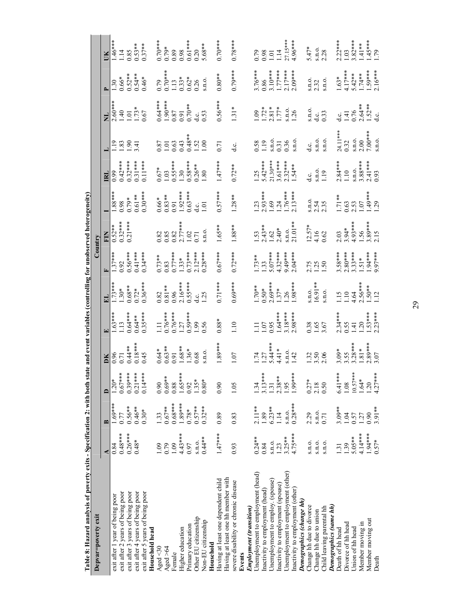| Table 8: Hazard analysis of poverty exits - Specification 2: with both    |                  |                   |                 | state and event variables (controlling for unobserved heterogeneity)       |                                                            |                                   |                                   |                                                                |                                                                      |                                                      |                                                  |                                                                                          |                                                                  |                                                                                                                  |
|---------------------------------------------------------------------------|------------------|-------------------|-----------------|----------------------------------------------------------------------------|------------------------------------------------------------|-----------------------------------|-----------------------------------|----------------------------------------------------------------|----------------------------------------------------------------------|------------------------------------------------------|--------------------------------------------------|------------------------------------------------------------------------------------------|------------------------------------------------------------------|------------------------------------------------------------------------------------------------------------------|
| Depvar=poverty exit                                                       |                  |                   |                 |                                                                            |                                                            |                                   |                                   | Country                                                        |                                                                      |                                                      |                                                  |                                                                                          |                                                                  |                                                                                                                  |
|                                                                           |                  | $\mathbf{\Omega}$ | $\Box$          | ĎК                                                                         |                                                            |                                   |                                   |                                                                |                                                                      | $\overline{\mathbf{z}}$                              |                                                  |                                                                                          |                                                                  |                                                                                                                  |
| exit after 1 year of being poor                                           | 0.84             | $1.69***$         | $1.20*$         | $\frac{0.96}{0.71}$                                                        | $1.63***$                                                  | $.73***$                          | $1.37***$                         | $0.52**$                                                       | $\frac{1.88***}{0.98}$                                               | 0.99                                                 | $\frac{28}{18}$                                  | $\frac{2.60***}{1.40}$                                                                   | $\ddot{.}30$                                                     | $1.46***$                                                                                                        |
| exit after 2 years of being poor                                          | $0.48***$        | 0.77              | $0.67*$         |                                                                            | 13                                                         | $30*$                             |                                   | $0.32***$<br>0.21***                                           |                                                                      | $0.42***$                                            |                                                  |                                                                                          | $0.66*$                                                          | 114                                                                                                              |
| exit after 3 years of being poor                                          | $0.26***$        | $0.56**$          | $0.39*$         | $0.44**$                                                                   | $0.64***$                                                  | $0.68***$                         | $0.56***$                         |                                                                | $0.79*$                                                              | $0.32***$                                            | 6                                                |                                                                                          |                                                                  | 0.85                                                                                                             |
| exit after 4 years of being poor                                          | $0.48*$          | $0.46***$         | $0.21*$         |                                                                            | $0.64***$                                                  | $0.72*$                           | $0.41***$                         |                                                                |                                                                      |                                                      | $\overline{3}$                                   |                                                                                          |                                                                  |                                                                                                                  |
| exit after 5 years of being poor<br>Household head                        |                  | $0.30*$           | $0.14*$         | $0.18***$<br>0.45                                                          | $0.35***$                                                  | $0.36***$                         | $0.34***$                         |                                                                | $0.61***$<br>0.30***                                                 | $0.11***$                                            |                                                  | $1.73*$<br>$1.73*$                                                                       | $0.52***$<br>0.54**<br>0.46*                                     | $0.53***$<br>0.37**                                                                                              |
| Aged $<$ 30                                                               | $\frac{6}{10}$   | 1.33              | 0.90            |                                                                            |                                                            | 0.82                              |                                   |                                                                |                                                                      |                                                      |                                                  |                                                                                          |                                                                  |                                                                                                                  |
| Aged > 64                                                                 | 0.79             | $0.67**$          | $0.69*$         |                                                                            |                                                            |                                   |                                   |                                                                |                                                                      |                                                      |                                                  |                                                                                          |                                                                  |                                                                                                                  |
| Female                                                                    | 1.09             | $0.68***$         | 0.88            | $0.64$ *<br>$0.63$ * *<br>$0.91$<br>$0.8$ * *<br>$1.36$ *<br>$0.68$        | 1.11<br>0.76***<br>0.76***<br>1.27<br>1.99<br>1.90<br>1.96 | $\frac{0.81***}{0.96}$            | $0.73***$<br>0.83<br>0.77***      | $0.82$<br>$0.83$<br>$0.82$<br>$0.77$<br>$0.71$<br>$0.71$       | $\begin{array}{c} 0.66* \\ 0.83** \\ 0.91 \end{array}$               | $0.67$ *<br>1.03<br>1.30<br>1.30<br>1.80<br>0.26 **  | $0.87$<br>1.01<br>1.03<br>1.48**                 | $0.64***$<br>1.90 ***<br>1.90 87<br>0.87<br>0.53<br>d.c.                                 | $0.79$<br>$0.70$ ***<br>$1.13$<br>$0.33$ *<br>$0.62$ *<br>$0.26$ | $\begin{array}{r} \n 0.70** \\  0.79* \\  0.89 \\  0.98 \\  0.61** \\  0.20 \\  0.20 \\  5.68** \\  \end{array}$ |
| Higher education                                                          | $4.43***$        | $1.89***$         | $1.65*$         |                                                                            |                                                            | $2.16***$                         | $1.33*$                           |                                                                |                                                                      |                                                      |                                                  |                                                                                          |                                                                  |                                                                                                                  |
| Primary education                                                         | 0.97             | $0.78*$           | 0.92            |                                                                            |                                                            | $0.55***$                         |                                   |                                                                |                                                                      |                                                      |                                                  |                                                                                          |                                                                  |                                                                                                                  |
| Other EU citizenship                                                      | S.I.O.           | $0.57***$         | $1.35*$         |                                                                            |                                                            |                                   |                                   |                                                                |                                                                      |                                                      |                                                  |                                                                                          |                                                                  |                                                                                                                  |
| Non-EU citizenship                                                        | $0.44**$         | $0.32***$         | $0.80*$         | S.D.O.                                                                     |                                                            | $\frac{\text{d.c.}}{\text{1.25}}$ | $\frac{73***}{2.12***}$           | S. <sub>n.o</sub>                                              | $1.92***$<br>0.63***<br>d.c.<br>1.01                                 |                                                      | 1.52                                             |                                                                                          | S.N.O.                                                           |                                                                                                                  |
| Household                                                                 |                  |                   |                 |                                                                            |                                                            |                                   |                                   |                                                                |                                                                      |                                                      |                                                  |                                                                                          |                                                                  |                                                                                                                  |
| Having at least one hh member with<br>Having at least one dependent child | $1.47***$        | 0.89              | 0.90            | $1.89***$                                                                  | $0.88*$                                                    | $0.71***$                         | $0.67***$                         | 1.65**                                                         | $0.57***$                                                            | $1.47***$                                            | 0.71                                             | $0.56***$                                                                                | $0.80**$                                                         | $0.70***$                                                                                                        |
| severe disability or chronic disease                                      | 0.93             | 0.83              | 1.05            | 1.07                                                                       | 1.10                                                       | $0.69***$                         | $0.72***$                         | 1.88**                                                         | $1.28**$                                                             | $0.72***$                                            | ن<br>d                                           | $1.31*$                                                                                  | $0.79***$                                                        | $0.78***$                                                                                                        |
| Events                                                                    |                  |                   |                 |                                                                            |                                                            |                                   |                                   |                                                                |                                                                      |                                                      |                                                  |                                                                                          |                                                                  |                                                                                                                  |
| Employment (transition)                                                   |                  |                   |                 |                                                                            |                                                            |                                   |                                   |                                                                |                                                                      |                                                      |                                                  |                                                                                          |                                                                  |                                                                                                                  |
| Unemployment to employment (head)                                         | $0.24**$         | $2.11***$         | 1.34            | $1.74$<br>$1.27$<br>$1.44$ * *<br>$5.44$ * *<br>$4.10$<br>$1.42$<br>$1.42$ | Ę                                                          | $\frac{1.70**}{0.50*}$<br>2.69*** | $\frac{1.73**}{1.33}$<br>5.07***  | $\begin{array}{c} 1.53 \\ 2.43** \\ 1.62 \\ 2.40* \end{array}$ | $1.23$<br>$2.93***$<br>$1.69$<br>$1.76***$<br>$1.76***$<br>$2.13***$ | 1.25<br>5.42****<br>21.30****<br>3.61****<br>1.54*** | 0.58<br>1.19<br>5.n.o.<br>0.31<br>9.36<br>5.n.o. | $1.72$ *<br>$1.72$ *<br>$1.77$ *<br>$1.77$ *<br>$1.26$                                   | $\frac{3.76***}{0.86}$<br>3.10***                                | $0.79$<br>$0.98$<br>$1.01$<br>$1.14$<br>$27.15***$<br>$4.96***$                                                  |
| Inactivity to employment (head)                                           | 0.84             | $1.89\,$          | $3.13*$         |                                                                            | $\begin{array}{c} 1.07 \\ 0.95 \\ 1.64*** \end{array}$     |                                   |                                   |                                                                |                                                                      |                                                      |                                                  |                                                                                          |                                                                  |                                                                                                                  |
| Unemployment to employ. (spouse)                                          | S.I.O.           | $6.23**$          | 1.31            |                                                                            |                                                            |                                   |                                   |                                                                |                                                                      |                                                      |                                                  |                                                                                          |                                                                  |                                                                                                                  |
| (nactivity to employment (spouse)                                         | 1.23             | 1.14              | $2.38*$         |                                                                            |                                                            | $.37*$                            |                                   |                                                                |                                                                      |                                                      |                                                  |                                                                                          | $1.77***$<br>2.17***                                             |                                                                                                                  |
| Unemployment to employment (other)                                        | $3.25**$         | S.I.O.            | 1.95            |                                                                            | $3.18***$                                                  |                                   | $4.32***$<br>9.49****<br>2.04**** | s.n.o.<br>21.01**                                              |                                                                      |                                                      |                                                  |                                                                                          |                                                                  |                                                                                                                  |
| Inactivity to employment (other)                                          | 4.75 ***         | $0.28***$         | 1.99***         |                                                                            |                                                            | $1.98***$                         |                                   |                                                                |                                                                      |                                                      |                                                  |                                                                                          | $2.09***$                                                        |                                                                                                                  |
| Demographics (change hh)                                                  |                  |                   |                 |                                                                            |                                                            |                                   |                                   |                                                                |                                                                      |                                                      |                                                  |                                                                                          |                                                                  |                                                                                                                  |
| Change hh due to divorce                                                  | S.I.O.           | 2.29              | $0.27*$         | $1.32$<br>$3.50$<br>$2.06$                                                 | $0.38$<br>$1.65$<br>$3.67$                                 | $\frac{16.91**}{1}$               | 2.75<br>1.25<br>1.50              | $12.57*$<br>4.16<br>0.62                                       | s.n.o.<br>2.54<br>2.35                                               | d.c.                                                 | d.c.                                             | s.n.o.<br>d.c.<br>0.33                                                                   | s.n.o.<br>2.32<br>s.n.o.                                         | $5.47*$                                                                                                          |
| Change hh due to union                                                    | S.I.O.           | S.I.O.            | 2.18            |                                                                            |                                                            |                                   |                                   |                                                                |                                                                      | s.n.o.<br>1.19                                       | S. <sub>n.o</sub> .                              |                                                                                          |                                                                  | s.n.o.<br>2.28                                                                                                   |
| Child leaving parental hh                                                 | S.I.O.           | 0.71              | 0.50            |                                                                            |                                                            | S.D. O.                           |                                   |                                                                |                                                                      |                                                      | S.n.o.                                           |                                                                                          |                                                                  |                                                                                                                  |
| Demographics (same hh)                                                    |                  |                   |                 |                                                                            |                                                            |                                   |                                   |                                                                |                                                                      |                                                      |                                                  |                                                                                          |                                                                  |                                                                                                                  |
| Death of hh head                                                          | $\overline{131}$ | $3.09***$         | $6.41**$        | $3.09*$<br>$3.55$<br>$3.28***$                                             | $2.34***$<br>0.55<br>1.41                                  |                                   | $3.58***$<br>2.80***<br>3.33****  | $2.03$<br>$3.94*$                                              |                                                                      | $2.84***$<br>1.10                                    |                                                  |                                                                                          | $1.63*$<br>4.17***                                               | $2.22***$<br>1.03<br>3.82***                                                                                     |
| Divorce of hh head                                                        | 1.39             | 1.04              | 1.08            |                                                                            |                                                            |                                   |                                   |                                                                |                                                                      |                                                      |                                                  |                                                                                          |                                                                  |                                                                                                                  |
| Union of hh head                                                          | 5.05**           | 0.57              | $10.57***$      |                                                                            |                                                            |                                   |                                   |                                                                |                                                                      | s.n.o.<br>3.88***                                    |                                                  |                                                                                          | $5.42***$                                                        |                                                                                                                  |
| Member moving in                                                          | $4.14***$        | 1.27              | $1.64*$         | $1.81*$                                                                    | $\overline{c}$                                             | 1.15<br>1.10<br>4.64<br>2.56***   | $51*$                             | $4.93***$<br>1.56<br>3.89***                                   | $1.71**$<br>0.63<br>2.53<br>1.07                                     |                                                      | $24.11***$<br>0.32<br>s.n.o.<br>2.00             | $d = 1$<br>$1 - 4$<br>$- 76$<br>$- 76$<br>$- 72$<br>$- 72$<br>$- 72$<br>$- 72$<br>$- 72$ | $1.74**$                                                         | $1.41**$                                                                                                         |
| Member moving out                                                         | 1.94***          | 0.90              | $1.20$<br>4.27* | $2.89***$<br>3.07                                                          | $1.53***$                                                  | $.50**$<br>$.12$                  | *****66.6                         |                                                                | $1.49***$<br>1.29                                                    | $2.41***$<br>0.93                                    | $7.00***$                                        |                                                                                          | $1.59***$                                                        | $1.45***$<br>1.79                                                                                                |
| Death                                                                     | $0.57*$          | $3.91**$          |                 |                                                                            |                                                            |                                   |                                   |                                                                |                                                                      |                                                      | $\sin 0$ .                                       |                                                                                          |                                                                  |                                                                                                                  |

29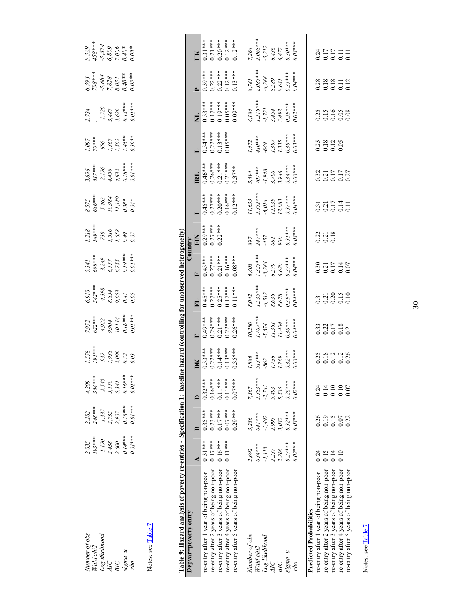| Jumber of ob:<br>Vald chi2   | $2,035$<br>$193***$<br>$1,190$<br>$-1,190$<br>$2,438$<br>$2,600$<br>$0.14***$ | $2,282$<br>$248***$<br>$-1,337$<br>$2,735$<br>$2,907$<br>$0.16***$ | 4,209<br>364***<br>-2,545<br>5,150<br>5,341<br>0.16*** | $\begin{array}{l} .558 \\ 195*** \\ 939 \\ -939 \\ 1,938 \\ 2,099 \\ 0.32 \end{array}$ | 7,952<br>622***<br>4,922<br>9,904<br>10,114<br>0,16*** | $5,910$<br>$542***$<br>$543***$<br>$6,854$<br>$6,854$<br>$0.05$<br>$0.41$ | 5,341<br>608***<br>-3,249<br>6,557<br>6,755<br>0.19*** | $1,218$<br>$149***$<br>$-730$<br>$1,516$<br>$1,658$<br>$0,49$<br>$0,07$ | $8.575$ $686***$ $686***$ $5.463$ $10.984$ $11.189$ $0.38*$ | $3,896$<br>$617***$<br>$617***$<br>$-2,196$<br>$4,450$<br>$4,632$<br>$0.18***$ | $1,097$<br>70***<br>70\$**<br>1,367<br>1,502<br>1,45**<br>1,39** | 2, 734<br>$\begin{array}{r} 2,734 \\ -1,720 \\ 3,487 \\ 3,629 \\ 0.13*** \\ 0.13*** \end{array}$ | 6,393<br>798***<br>-3,884<br>7,828<br>0,40**<br>0,05** | 5,329<br>458***<br>-3,374<br>-3,3006<br>0,05*<br>0,05* |
|------------------------------|-------------------------------------------------------------------------------|--------------------------------------------------------------------|--------------------------------------------------------|----------------------------------------------------------------------------------------|--------------------------------------------------------|---------------------------------------------------------------------------|--------------------------------------------------------|-------------------------------------------------------------------------|-------------------------------------------------------------|--------------------------------------------------------------------------------|------------------------------------------------------------------|--------------------------------------------------------------------------------------------------|--------------------------------------------------------|--------------------------------------------------------|
|                              |                                                                               |                                                                    |                                                        |                                                                                        |                                                        |                                                                           |                                                        |                                                                         |                                                             |                                                                                |                                                                  |                                                                                                  |                                                        |                                                        |
|                              |                                                                               |                                                                    |                                                        |                                                                                        |                                                        |                                                                           |                                                        |                                                                         |                                                             |                                                                                |                                                                  |                                                                                                  |                                                        |                                                        |
| Log likelihood<br>AIC<br>BIC |                                                                               |                                                                    |                                                        |                                                                                        |                                                        |                                                                           |                                                        |                                                                         |                                                             |                                                                                |                                                                  |                                                                                                  |                                                        |                                                        |
|                              |                                                                               |                                                                    |                                                        |                                                                                        |                                                        |                                                                           |                                                        |                                                                         |                                                             |                                                                                |                                                                  |                                                                                                  |                                                        |                                                        |
| $\frac{m}{n}$ pußit          | $0.01***$                                                                     |                                                                    |                                                        |                                                                                        |                                                        |                                                                           |                                                        |                                                                         |                                                             |                                                                                |                                                                  |                                                                                                  |                                                        |                                                        |
|                              |                                                                               |                                                                    |                                                        |                                                                                        |                                                        |                                                                           |                                                        |                                                                         |                                                             |                                                                                |                                                                  |                                                                                                  |                                                        |                                                        |

Notes: see Table 7 Notes: see <u>Table 7</u>

**Table 9: Hazard analysis of poverty re-entries - Specification 1: baseline hazard (controlling for unobserved heterogeneity)**  Ŕ j Table 9: Ha

| (controlling to thazard analysis of poverty re-entries - Specification 1: baseline hazard (controlling for unobserved heterogeneity) |           |           |            |                                                                                      |                                                                                                                |                                                                        |                                                               |                                                                                          |                                                                         |                                                                             |                                                                  |                                                                   |                                                                                                    |                                                               |
|--------------------------------------------------------------------------------------------------------------------------------------|-----------|-----------|------------|--------------------------------------------------------------------------------------|----------------------------------------------------------------------------------------------------------------|------------------------------------------------------------------------|---------------------------------------------------------------|------------------------------------------------------------------------------------------|-------------------------------------------------------------------------|-----------------------------------------------------------------------------|------------------------------------------------------------------|-------------------------------------------------------------------|----------------------------------------------------------------------------------------------------|---------------------------------------------------------------|
| Depvar=poverty entry                                                                                                                 |           |           |            |                                                                                      |                                                                                                                |                                                                        |                                                               | Jountry                                                                                  |                                                                         |                                                                             |                                                                  |                                                                   |                                                                                                    |                                                               |
|                                                                                                                                      |           | ≃         |            | žю                                                                                   |                                                                                                                |                                                                        |                                                               | EN                                                                                       |                                                                         |                                                                             |                                                                  |                                                                   |                                                                                                    |                                                               |
| re-entry after 1 year of being non-poor                                                                                              | $0.31***$ | $0.35***$ | $0.32***$  | $\begin{array}{c} 0.33***\ 0.22***\ 0.214***\ 0.13***\ 0.13***\ 0.13*** \end{array}$ | 49***<br>0.29***<br>0.21****<br>0.26***                                                                        |                                                                        | $0.43***$<br>$0.27***$<br>$0.21***$<br>$0.16***$<br>$0.16***$ | $\frac{0.29***}{0.27***}$                                                                |                                                                         |                                                                             |                                                                  |                                                                   |                                                                                                    |                                                               |
| re-entry after 2 years of being non-poor                                                                                             | $0.17***$ | $0.23***$ | $0.16***$  |                                                                                      |                                                                                                                |                                                                        |                                                               |                                                                                          |                                                                         |                                                                             |                                                                  |                                                                   |                                                                                                    |                                                               |
| re-entry after 3 years of being non-poor                                                                                             | $0.16***$ | $0.17***$ | $0.11***$  |                                                                                      |                                                                                                                | **** 110<br>**** 520<br>**** 520<br>**** 110                           |                                                               |                                                                                          |                                                                         |                                                                             | 0.34***<br>0.22***<br>0.13****<br>0.05****                       |                                                                   |                                                                                                    |                                                               |
| re-entry after 4 years of being non-poor                                                                                             | $0.11***$ | $0.07***$ | $0.11***$  |                                                                                      |                                                                                                                |                                                                        |                                                               |                                                                                          |                                                                         |                                                                             |                                                                  |                                                                   |                                                                                                    |                                                               |
| re-entry after 5 years of being non-poor                                                                                             |           | $0.29***$ | $0.07***$  |                                                                                      |                                                                                                                |                                                                        |                                                               |                                                                                          | $0.45***$<br>$0.27***$<br>$0.20***$<br>$0.16***$<br>$0.12***$           | $\frac{\textbf{IRL}}{0.46***}$ 0.26 ***<br>0.25 ****<br>0.21 ***<br>0.37 ** |                                                                  | ****6100<br>****6100<br>****6100<br>****6100                      | ****<br>0.22****<br>0.22****<br>0.12****<br>0.13***                                                | ***<br>0.31***<br>0.20****<br>0.12***<br>0.12***              |
|                                                                                                                                      |           |           |            |                                                                                      |                                                                                                                |                                                                        |                                                               |                                                                                          |                                                                         |                                                                             |                                                                  |                                                                   |                                                                                                    |                                                               |
| Number of obs                                                                                                                        | 2,692     | 3,236     | 7,367      |                                                                                      |                                                                                                                |                                                                        |                                                               |                                                                                          |                                                                         |                                                                             |                                                                  |                                                                   |                                                                                                    |                                                               |
| Wald chi2                                                                                                                            | 834***    | ****18    | $2,383***$ |                                                                                      |                                                                                                                |                                                                        |                                                               |                                                                                          |                                                                         |                                                                             |                                                                  |                                                                   |                                                                                                    |                                                               |
| Log likelihood                                                                                                                       | $-1,113$  | $-1,492$  | $-2,741$   |                                                                                      |                                                                                                                |                                                                        |                                                               |                                                                                          |                                                                         |                                                                             |                                                                  |                                                                   |                                                                                                    |                                                               |
| AIC                                                                                                                                  | 2,237     | 2,995     | 5,493      |                                                                                      |                                                                                                                |                                                                        |                                                               |                                                                                          |                                                                         |                                                                             |                                                                  |                                                                   |                                                                                                    |                                                               |
| BIC                                                                                                                                  | 2,266     | 3,032     | 5,535      | $1,886$<br>$513***$<br>$-862$<br>$1,736$<br>$1,736$<br>$0.32***$                     | $\begin{array}{l} 10.280 \\ 1.789^{***} \\ -5.674 \\ 11.361 \\ 11.404 \\ 0.38^{***} \\ 0.38^{***} \end{array}$ | $8.042$<br>1,535***<br>1,535***<br>4,312<br>8,678<br>8,678<br>0.94**** | 6,403<br>1,325****<br>-3,284<br>6,579<br>6,620<br>0.037***    | $\begin{array}{l} 897 \\ 247*** \\ -437 \\ -881 \\ \hline 881 \\ 0.31*** \\ \end{array}$ | $11,635$<br>$2,352***$<br>$-6,014$<br>$12,039$<br>$12,083$<br>$0.37***$ | $3,694$<br>$707***$<br>$-1,948$<br>$3,908$<br>$3,946$<br>$0.34***$          | $1,472$<br>$410***$<br>$-649$<br>$1,309$<br>$1,335$<br>$0.30***$ | 4, 184<br>1, 216 ***<br>1, 721<br>-1, 721<br>3, 492<br>3, 902 *** | $\begin{array}{l} 8,781 \\ 2,085*** \\ -4,288 \\ 8,589 \\ 8,631 \\ 0.35*** \\ 0.35*** \end{array}$ | 7, 264<br>2, 068***<br>3, 212<br>6, 436<br>6, 477<br>0, 30*** |
| $n_{sum}$                                                                                                                            | $0.27***$ | $0.32***$ | $0.26***$  |                                                                                      |                                                                                                                |                                                                        |                                                               |                                                                                          |                                                                         |                                                                             |                                                                  |                                                                   |                                                                                                    |                                                               |
| oyl                                                                                                                                  | $9.02***$ | $0.03***$ | $0.02***$  |                                                                                      |                                                                                                                |                                                                        |                                                               |                                                                                          |                                                                         |                                                                             |                                                                  |                                                                   |                                                                                                    | $0.03***$                                                     |
|                                                                                                                                      |           |           |            |                                                                                      |                                                                                                                |                                                                        |                                                               |                                                                                          |                                                                         |                                                                             |                                                                  |                                                                   |                                                                                                    |                                                               |
| <b>Predicted Probabilities</b>                                                                                                       |           |           |            |                                                                                      |                                                                                                                |                                                                        |                                                               |                                                                                          |                                                                         |                                                                             |                                                                  |                                                                   |                                                                                                    |                                                               |
| re-entry after 1 year of being non-poor                                                                                              | 0.24      | 0.26      | 0.24       |                                                                                      |                                                                                                                |                                                                        |                                                               |                                                                                          |                                                                         |                                                                             |                                                                  |                                                                   |                                                                                                    |                                                               |
| re-entry after 2 years of being non-poor                                                                                             | 0.15      | 0.19      | 0.14       | 332128<br>000000                                                                     | 332523<br>335325                                                                                               | 31<br>0.21<br>0.30<br>0.10                                             | 0.3174<br>0.3174<br>0.000                                     | 0.21<br>0.21<br>0.18                                                                     | $0.317$<br>$0.217$<br>$0.514$<br>$0.514$                                | 32<br>0.217<br>0.000                                                        | 323<br>0.12<br>0.0.0                                             | 315<br>0.16<br>0.000                                              | 0.18<br>0.18<br>0.11<br>0.12                                                                       | 31511<br>31511<br>0001                                        |
| re-entry after 3 years of being non-poor                                                                                             | 0.14      | 0.15      | 0.10       |                                                                                      |                                                                                                                |                                                                        |                                                               |                                                                                          |                                                                         |                                                                             |                                                                  |                                                                   |                                                                                                    |                                                               |
| re-entry after 4 years of being non-poor                                                                                             | 0.10      | 0.07      | 0.10       |                                                                                      |                                                                                                                |                                                                        |                                                               |                                                                                          |                                                                         |                                                                             |                                                                  |                                                                   |                                                                                                    |                                                               |
| re-entry after 5 years of being non-poor                                                                                             |           | 0.22      | 0.07       |                                                                                      |                                                                                                                |                                                                        |                                                               |                                                                                          |                                                                         |                                                                             |                                                                  |                                                                   |                                                                                                    |                                                               |
|                                                                                                                                      |           |           |            |                                                                                      |                                                                                                                |                                                                        |                                                               |                                                                                          |                                                                         |                                                                             |                                                                  |                                                                   |                                                                                                    |                                                               |

Notes: see Table 7 Notes: see Table 7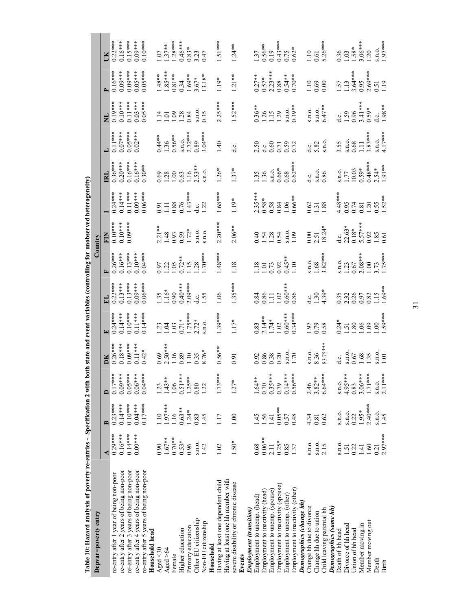| Table 10: Hazard analysis of poverty re-entries - Specification 2 with b |                  |                |                        |                                                                        | oth state and event variables (controlling for unobserved heterogeneity)            |                                                                                                |                                              |                                                                                                                  |                                                                 |                                                                                |                                                                                |                                   |                                                              |                                                                                           |
|--------------------------------------------------------------------------|------------------|----------------|------------------------|------------------------------------------------------------------------|-------------------------------------------------------------------------------------|------------------------------------------------------------------------------------------------|----------------------------------------------|------------------------------------------------------------------------------------------------------------------|-----------------------------------------------------------------|--------------------------------------------------------------------------------|--------------------------------------------------------------------------------|-----------------------------------|--------------------------------------------------------------|-------------------------------------------------------------------------------------------|
| Depvar=poverty entry                                                     |                  |                |                        |                                                                        |                                                                                     |                                                                                                |                                              | Country                                                                                                          |                                                                 |                                                                                |                                                                                |                                   |                                                              |                                                                                           |
|                                                                          |                  |                |                        | DК                                                                     |                                                                                     |                                                                                                |                                              | EIN                                                                                                              |                                                                 | $\mathbf{E}$                                                                   |                                                                                |                                   |                                                              |                                                                                           |
| re-entry after 1 year of being non-poor                                  | $0.29***$        | $0.23***$      | $0.17***$              | $0.26***$                                                              | $0.24***$                                                                           | $0.22***$                                                                                      | $0.26***$                                    | $0.10***$                                                                                                        | $0.24***$                                                       | $0.36***$                                                                      | $0.11***$                                                                      | $\frac{1}{19^{***}}$              | $0.16***$                                                    | $0.22***$                                                                                 |
| re-entry after 2 years of being non-poor                                 | $0.16***$        | $0.14***$      | $0.09***$<br>$0.05***$ | $0.18***$<br>$0.09***$                                                 | $0.14***$                                                                           | $0.13***$<br>$0.13***$                                                                         | $0.16***$<br>$0.13***$                       | $0.09***$<br>$0.10***$                                                                                           | $0.14***$<br>$0.11***$                                          | $0.20***$                                                                      | $0.07***$                                                                      | $0.11***$<br>$0.10***$            | $0.09***$<br>$0.09***$                                       | $0.16***$                                                                                 |
| re-entry after 3 years of being non-poor                                 | $0.14***$        | $0.10***$      |                        | $0.11***$                                                              | $0.10***$                                                                           |                                                                                                |                                              |                                                                                                                  |                                                                 | $0.16***$                                                                      | $0.05***$<br>0.02***                                                           |                                   |                                                              | $0.15***$<br>$0.09***$                                                                    |
| re-entry after 4 years of being non-poor                                 | $0.09***$        | $0.04***$      | $0.06***$              |                                                                        | $0.11***$                                                                           | $0.09***$                                                                                      | $0.10***$                                    |                                                                                                                  | $0.09***$                                                       | $0.16***$                                                                      |                                                                                | $0.03***$                         | $0.05***$<br>0.05****                                        |                                                                                           |
| re-entry after 5 years of being non-poor<br>Household head               |                  | $0.17***$      | $0.04***$              | $0.42*$                                                                | $0.14***$                                                                           | $0.06***$                                                                                      | $0.04***$                                    |                                                                                                                  | $0.06***$                                                       | $0.30**$                                                                       |                                                                                | $0.05***$                         |                                                              | $0.10***$                                                                                 |
| Ageed < 30                                                               | 0.90             | 1.10           | $\overline{23}$        |                                                                        |                                                                                     |                                                                                                |                                              |                                                                                                                  |                                                                 |                                                                                |                                                                                |                                   |                                                              | 1.07                                                                                      |
| Aged > 64                                                                | $1.67**$         | 1.97***        | $1.43***$              |                                                                        |                                                                                     |                                                                                                |                                              |                                                                                                                  |                                                                 |                                                                                |                                                                                |                                   |                                                              |                                                                                           |
| Female                                                                   | $0.70***$        | 1.16           | 1.06                   | $0.69$<br>$2.50***$<br>$1.16$<br>$0.89$<br>$1.10$<br>$0.35$<br>$8.76*$ | $1.23$<br>$1.04$<br>$1.03$<br>$1.75**$<br>$1.75**$<br>$2.72*$<br>$2.12*$<br>$2.12*$ | $\frac{1.35}{1.16}$ *                                                                          | $0.97$<br>1.22<br>1.05<br>1.72**             | $2.21**$<br>$1.48$<br>$0.93$<br>$1.72*$<br>$1.10$<br>$1.72*$<br>$1.0$<br>$1.0$<br>$1.0$                          | $0.91$<br>1.11 88<br>0.76<br>1.43***<br>1.22                    | $0.69$<br>$1.28$<br>$1.06$<br>$1.16$<br>$1.53**$<br>$2.53**$                   | $0.44**$<br>1.36<br>0.56**                                                     | 11588800                          | $1.48***$<br>$1.85***$<br>$0.81***$<br>$0.34***$<br>$1.69**$ | $\begin{array}{l} 1.37**\\ 1.28***\\ 1.28***\\ 0.46***\\ 0.83*\\ 0.33\\ 0.47 \end{array}$ |
|                                                                          | $0.53*$          | $0.63***$      |                        |                                                                        |                                                                                     |                                                                                                |                                              |                                                                                                                  |                                                                 |                                                                                |                                                                                |                                   |                                                              |                                                                                           |
| Higher education                                                         |                  |                | $0.51***$              |                                                                        |                                                                                     | $0.40***$<br>2.09***                                                                           |                                              |                                                                                                                  |                                                                 |                                                                                | $\frac{\text{S.n.O.}}{2.72}$ ***                                               |                                   |                                                              |                                                                                           |
| Primary education                                                        | 0.96             | $1.24*$        | $1.25**$               |                                                                        |                                                                                     |                                                                                                | .15                                          |                                                                                                                  |                                                                 |                                                                                |                                                                                |                                   |                                                              |                                                                                           |
| Other EU citizenship                                                     | S.I.O.           | 0.83           | 0.80                   |                                                                        |                                                                                     |                                                                                                | 1.28                                         |                                                                                                                  |                                                                 |                                                                                | 0.89                                                                           | s.n.o.<br>0.35                    |                                                              |                                                                                           |
| Non-EU citizenship                                                       | 142              | 1.45           | 122                    |                                                                        |                                                                                     | $\frac{\text{d.c.}}{\text{1.55}}$                                                              | $1.70***$                                    |                                                                                                                  |                                                                 | s.n.o.                                                                         | $3.04***$                                                                      |                                   | $3.67*$<br>13.18*                                            |                                                                                           |
| Household                                                                |                  |                |                        |                                                                        |                                                                                     |                                                                                                |                                              |                                                                                                                  |                                                                 |                                                                                |                                                                                |                                   |                                                              |                                                                                           |
| Having at least one dependent child                                      | 1.02             | 1.17           | $1.73***$              | $0.56***$                                                              | $1.39***$                                                                           | 1.06                                                                                           | $1.48***$                                    | $2.20***$                                                                                                        | $1.68***$                                                       | $1.26*$                                                                        | 1.40                                                                           | $2.25***$                         | $1.19*$                                                      | $1.51***$                                                                                 |
| Having at least one hh member with                                       |                  |                |                        |                                                                        |                                                                                     |                                                                                                |                                              |                                                                                                                  |                                                                 |                                                                                |                                                                                |                                   |                                                              |                                                                                           |
| severe disability or chronic disease                                     | $1.50*$          | 1.00           | $1.27*$                | 0.91                                                                   | $1.17*$                                                                             | $1.35***$                                                                                      | 1.18                                         | $2.06***$                                                                                                        | 1.19*                                                           | $1.37*$                                                                        | c.<br>d                                                                        | $1.52***$                         | $1.21**$                                                     | $1.24**$                                                                                  |
| Events                                                                   |                  |                |                        |                                                                        |                                                                                     |                                                                                                |                                              |                                                                                                                  |                                                                 |                                                                                |                                                                                |                                   |                                                              |                                                                                           |
| <b>Employment (transition)</b>                                           |                  |                |                        |                                                                        |                                                                                     |                                                                                                |                                              |                                                                                                                  |                                                                 |                                                                                |                                                                                |                                   |                                                              |                                                                                           |
| Employment to unemp. (head)                                              | 0.68             | 1.45           | 1.64**                 |                                                                        |                                                                                     |                                                                                                |                                              |                                                                                                                  |                                                                 |                                                                                |                                                                                |                                   |                                                              |                                                                                           |
| Employment to inactivity (head)                                          | $0.06***$        |                | 0.70                   |                                                                        |                                                                                     |                                                                                                |                                              |                                                                                                                  |                                                                 |                                                                                |                                                                                |                                   |                                                              |                                                                                           |
| Employment to unemp. (spouse)                                            | 2.11             | $1.56$<br>1.41 | $0.35***$              | 0.38<br>0.38<br>0.20<br>1.70<br>1.70                                   | $0.83$<br>2.14**<br>1.74*<br>1.02<br>1.03****                                       | $0.84$<br>$0.86$<br>$1.102$<br>$0.60**$<br>$0.86$                                              | 1.18<br>1.01<br>0.73<br>0.92                 | 0.40<br>1.54<br>0.54<br>1.09<br>1.09                                                                             |                                                                 | $\begin{array}{r} 1.35 \\ 1.36 \\ 5.10 \\ 0.66* \\ 0.68 \\ 0.62** \end{array}$ | 5<br>0.007<br>0.0000                                                           | $36**$<br>$126$<br>$112$<br>$112$ | $0.27**$<br>$0.57**$<br>$0.53***$<br>$0.88***$<br>$0.54**$   | $\frac{1.37}{0.56***}$                                                                    |
| Employment to inactivity (spouse)                                        | $0.25*$          | $0.05***$      | 0.79                   |                                                                        |                                                                                     |                                                                                                |                                              |                                                                                                                  |                                                                 |                                                                                |                                                                                |                                   |                                                              |                                                                                           |
| Employment to unemp. (other)                                             | 0.85             | 0.57           | $0.14***$              |                                                                        |                                                                                     |                                                                                                | $0.45***$<br>1.10                            |                                                                                                                  |                                                                 |                                                                                |                                                                                |                                   |                                                              |                                                                                           |
| Employment to inactivity (other)                                         | 1.37             | 0.48           | $0.56***$              |                                                                        |                                                                                     |                                                                                                |                                              |                                                                                                                  | $2.35***$<br>0.58*<br>0.58<br>0.64<br>1.06**                    |                                                                                |                                                                                | s.n.o.<br>0.39**                  |                                                              | $0.43***$<br>$0.75$<br>$0.62*$                                                            |
| Demographics (change hh)                                                 |                  |                |                        |                                                                        |                                                                                     |                                                                                                |                                              |                                                                                                                  |                                                                 |                                                                                |                                                                                |                                   |                                                              |                                                                                           |
| Change hh due to divorce                                                 | S.D.O.           | 4.34           | $2.46$<br>$3.82**$     |                                                                        |                                                                                     | ्<br>त                                                                                         |                                              |                                                                                                                  |                                                                 | d.c.                                                                           |                                                                                |                                   |                                                              |                                                                                           |
| Change hh due to union                                                   | S.I.O.           | 0.81           |                        | s.n.o.<br>8.36                                                         |                                                                                     |                                                                                                |                                              |                                                                                                                  |                                                                 |                                                                                | d c.<br>5.82                                                                   |                                   |                                                              |                                                                                           |
| Child leaving parental hh                                                | 2.15             | 0.62           | $6.64***$              | 83.75***                                                               | 1.97<br>0.79<br>0.58                                                                | $1.30$<br>4.39*                                                                                | s.n.o.<br>1.68<br>3.82***                    | $\begin{array}{c} 0.00 \\ 2.51 \\ 18.24* \end{array}$                                                            | $0.518$<br>$1.88$                                               | s.n.o.<br>0.86                                                                 | s.n.o.                                                                         | s.n.o.<br>s.n.o.<br>6.47**        | $\frac{1.10}{0.69}$                                          | $\begin{array}{c} 1.10 \\ 0.61 \\ 5.26*** \end{array}$                                    |
| Demographics (same hh)                                                   |                  |                |                        |                                                                        |                                                                                     |                                                                                                |                                              |                                                                                                                  |                                                                 |                                                                                |                                                                                |                                   |                                                              |                                                                                           |
| Death of hh head                                                         | S.I.O.           | S.I.O.         | S.I.O.                 | c.<br>d                                                                | $0.24$ *<br>1.51<br>1.80<br>1.09<br>1.59**                                          | $\begin{array}{c} 0.35 \\ 0.32 \\ 0.05 \\ 0.08 \\ 0.01 \\ 0.01 \\ 0.01 \\ 0.03 \\ \end{array}$ |                                              |                                                                                                                  | $4.48***$<br>$0.95$<br>$0.81$<br>$0.20$<br>$0.52**$<br>$0.52**$ |                                                                                | $3.55$<br>$\begin{array}{c} 3.55 \\ \text{s.n.o.} \\ 0.68 \\ 1.11 \\ 3.83$ *** | $\frac{1}{10}$                    |                                                              | $0.36$<br>1.03<br>1.58 ***<br>1.20<br>1.20                                                |
| Divorce of hh head                                                       | $1.51$<br>$0.22$ | S.I.O.         | 4.95****               | S.D.                                                                   |                                                                                     |                                                                                                |                                              |                                                                                                                  |                                                                 |                                                                                |                                                                                |                                   |                                                              |                                                                                           |
| Union of hh head                                                         |                  | 0.22           | 0.83                   |                                                                        |                                                                                     |                                                                                                |                                              |                                                                                                                  |                                                                 | $\begin{array}{c} 1.77 \\ 1.003 \\ 0.59* \end{array}$                          |                                                                                |                                   |                                                              |                                                                                           |
| Member moving in                                                         | 1.41             | $1.95*$        | $3.06***$              | $\frac{0.67}{1.35}$                                                    |                                                                                     |                                                                                                | s.n.o.<br>1.23<br>0.67<br>2.08***<br>1.75*** | $\begin{array}{l} \text{d.c.} \\ 22.63^* \\ 0.18^* \\ 5.57^{***} \\ 0.92 \\ 1.85 \\ 1.85 \\ 0.61 \\ \end{array}$ |                                                                 |                                                                                |                                                                                | $\frac{1.59}{0.96}$<br>3.41***    |                                                              |                                                                                           |
| Member moving out                                                        | $1.60\,$         | $2.40***$      | $1.71***$              |                                                                        |                                                                                     |                                                                                                |                                              |                                                                                                                  |                                                                 | $0.48***$<br>2.54*<br>1.91**                                                   |                                                                                | $0.59*$                           |                                                              |                                                                                           |
| Death                                                                    | 0.21             |                | S.I.O.                 | $\frac{100}{100}$                                                      |                                                                                     |                                                                                                |                                              |                                                                                                                  |                                                                 |                                                                                | $\frac{\sin 0}{4.17***}$                                                       | $1.98***$                         |                                                              | s.n.o.<br>1.97****                                                                        |
| <b>Birth</b>                                                             | $2.97***$        | s.n.o.<br>1.45 | $2.11***$              |                                                                        |                                                                                     |                                                                                                |                                              |                                                                                                                  |                                                                 |                                                                                |                                                                                |                                   | 1.57<br>1.13<br>3.64***<br>0.95<br>2.69***<br>1.19           |                                                                                           |

31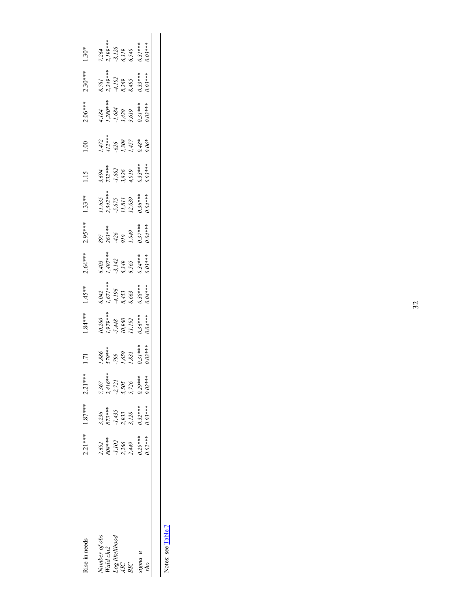| lise in needs                | $2.21***$                                            | $1.87***$                                                        | $2.21***$                                               |                                                                      | $84***$                                                                                                                 | $4*54.1$                                      | $2.64***$                                                 | .95****                                 | $1.33**$                                                      | $\frac{5}{10}$                             |                                             | $06***$                                                                     | $2.30***$                                                           | $.30*$                                           |
|------------------------------|------------------------------------------------------|------------------------------------------------------------------|---------------------------------------------------------|----------------------------------------------------------------------|-------------------------------------------------------------------------------------------------------------------------|-----------------------------------------------|-----------------------------------------------------------|-----------------------------------------|---------------------------------------------------------------|--------------------------------------------|---------------------------------------------|-----------------------------------------------------------------------------|---------------------------------------------------------------------|--------------------------------------------------|
| Number of obs<br>Wald chi2   | $2,692$<br>808 ***<br>$-1,102$<br>$2,266$<br>$2,449$ | $3,236$<br>$873***$<br>$-1,435$<br>$2,933$<br>$3,128$<br>$3,128$ | $7,367$<br>$2,416***$<br>$-2,721$<br>$5,505$<br>$5,726$ |                                                                      |                                                                                                                         |                                               |                                                           |                                         |                                                               |                                            |                                             |                                                                             | $3,781$<br>$2,249***$<br>$4,102$<br>$3,269$<br>$6,395$<br>$0.33***$ |                                                  |
|                              |                                                      |                                                                  |                                                         |                                                                      |                                                                                                                         |                                               |                                                           |                                         |                                                               |                                            |                                             |                                                                             |                                                                     |                                                  |
| -og likelihood<br>AIC<br>BIC |                                                      |                                                                  |                                                         |                                                                      |                                                                                                                         |                                               |                                                           |                                         |                                                               |                                            |                                             |                                                                             |                                                                     |                                                  |
|                              |                                                      |                                                                  |                                                         |                                                                      |                                                                                                                         |                                               |                                                           |                                         |                                                               |                                            |                                             |                                                                             |                                                                     |                                                  |
|                              |                                                      |                                                                  |                                                         | $\begin{array}{l} 1,886 \\ 579*** \\ -799 \\ 1,659 \\ 1,831 \\ 0.31$ | $\begin{array}{l} \n 0.280 \\ \n 1.979*** \\ \n 5.448 \\ \n 10.960 \\ \n 11.192 \\ \n 11.192 \\ \n 0.36*** \end{array}$ | 3,042<br>1,671***<br>-4,196<br>8,453<br>8,663 | 5,403<br>1,497***<br>-3,142<br>5,5349<br>6,565<br>0,03*** | 897<br>263***<br>-426<br>1,049<br>1,049 | $11,635$<br>?,542***<br>.5,875<br>11,811<br>12,039<br>2,04*** | 3,694<br>732***<br>1,882<br>4,019<br>4,019 | $1,472$<br>412***<br>506.<br>457.<br>1,457. | 4, 184<br>1, 280***<br>1, 284<br>1, 684<br>3, 429<br>3, 3, 439<br>0, 33**** |                                                                     | 7,264<br>.3,128<br>.5,128<br>.6,5319<br>.0,31*** |
| $\frac{m}{n}$ bulars         | $0.29***$                                            |                                                                  | $0.29***$                                               |                                                                      |                                                                                                                         | $2.38***$                                     |                                                           | $0.37***$                               |                                                               | $0.33***$<br>$0.03***$                     |                                             |                                                                             |                                                                     |                                                  |
|                              | $0.02***$                                            | $0.03***$                                                        | $0.02***$                                               | $0.03***$                                                            | $0.04***$                                                                                                               | $0.04***$                                     |                                                           |                                         |                                                               |                                            | $0.06*$                                     |                                                                             |                                                                     |                                                  |
|                              |                                                      |                                                                  |                                                         |                                                                      |                                                                                                                         |                                               |                                                           |                                         |                                                               |                                            |                                             |                                                                             |                                                                     |                                                  |

Notes: see Table 7 Notes: see Table 7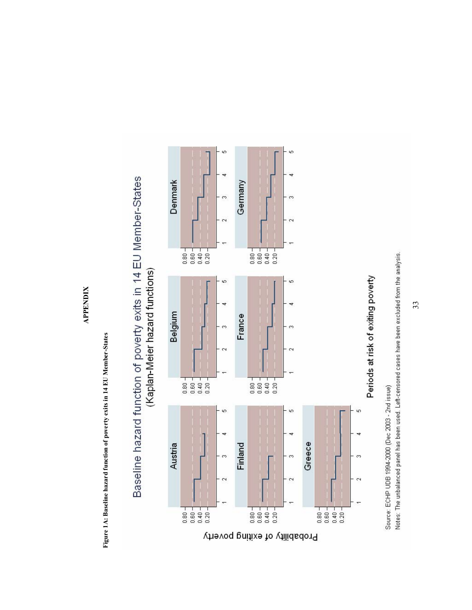**APPENDIX APPENDIX** 

> Figure 1A: Baseline hazard function of poverty exits in 14 EU Member-States **Figure 1A: Baseline hazard function of poverty exits in 14 EU Member-States**



Baseline hazard function of poverty exits in 14 EU Member-States (Kaplan-Meier hazard functions)

Notes: The unbalanced panel has been used. Left-censored cases have been excluded from the analysis. Source: ECHP UDB 1994-2000 (Dec 2003 - 2nd issue)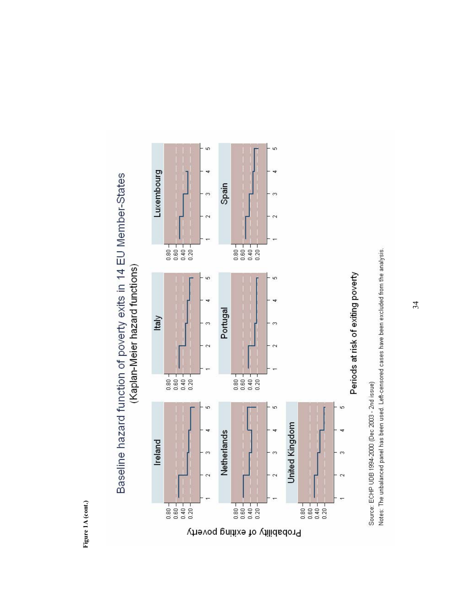Figure 1A (cont.) **Figure 1A (cont.)** 



# Baseline hazard function of poverty exits in 14 EU Member-States (Kaplan-Meier hazard functions)

Notes: The unbalanced panel has been used. Left-censored cases have been excluded from the analysis. Source: ECHP UDB 1994-2000 (Dec 2003 - 2nd issue)

Periods at risk of exiting poverty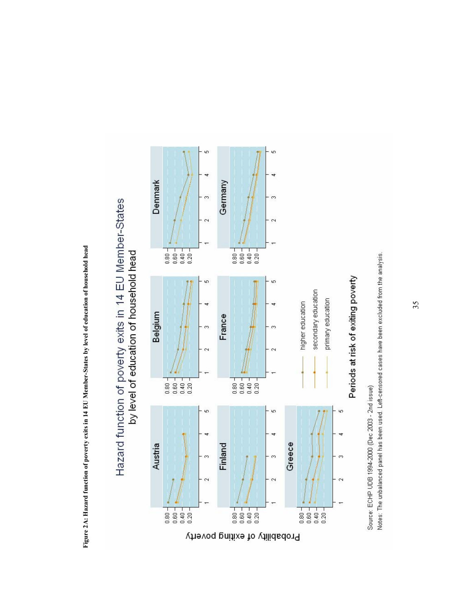Figure 2A: Hazard function of poverty exits in 14 EU Member-States by level of education of household head **Figure 2A: Hazard function of poverty exits in 14 EU Member-States by level of education of household head** 

Hazard function of poverty exits in 14 EU Member-States

by level of education of household head



Notes: The unbalanced panel has been used. Left-censored cases have been excluded from the analysis. Source: ECHP UDB 1994-2000 (Dec 2003 - 2nd issue)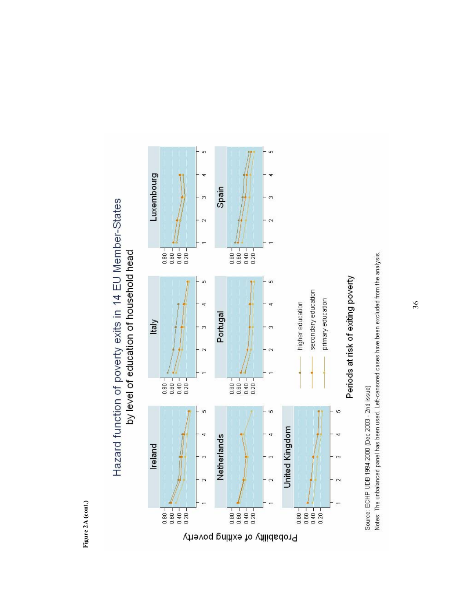Figure 2A (cont.) **Figure 2A (cont.)** 





Notes: The unbalanced panel has been used. Left-censored cases have been excluded from the analysis. Source: ECHP UDB 1994-2000 (Dec 2003 - 2nd issue)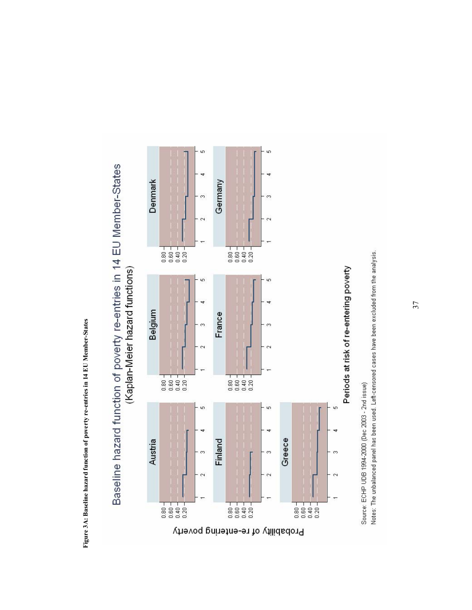Figure 3A: Baseline hazard function of poverty re-entries in 14 EU Member-States **Figure 3A: Baseline hazard function of poverty re-entries in 14 EU Member-States** 



Baseline hazard function of poverty re-entries in 14 EU Member-States



Source: ECHP UDB 1994-2000 (Dec 2003 - 2nd issue)

Notes: The unbalanced panel has been used. Left-censored cases have been excluded from the analysis.